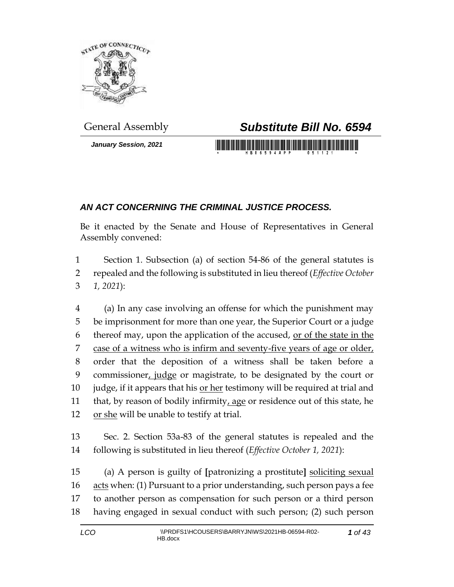

*January Session, 2021*

## General Assembly *Substitute Bill No. 6594*

<u> 1999 - Johann Maria Maria Maria Maria Maria Maria Maria Maria Maria Maria Maria Maria Maria Maria Maria Mari</u>

## *AN ACT CONCERNING THE CRIMINAL JUSTICE PROCESS.*

Be it enacted by the Senate and House of Representatives in General Assembly convened:

1 Section 1. Subsection (a) of section 54-86 of the general statutes is 2 repealed and the following is substituted in lieu thereof (*Effective October*  3 *1, 2021*):

4 (a) In any case involving an offense for which the punishment may 5 be imprisonment for more than one year, the Superior Court or a judge 6 thereof may, upon the application of the accused, or of the state in the 7 case of a witness who is infirm and seventy-five years of age or older, 8 order that the deposition of a witness shall be taken before a 9 commissioner, judge or magistrate, to be designated by the court or 10 judge, if it appears that his or her testimony will be required at trial and 11 that, by reason of bodily infirmity, age or residence out of this state, he 12 or she will be unable to testify at trial.

13 Sec. 2. Section 53a-83 of the general statutes is repealed and the 14 following is substituted in lieu thereof (*Effective October 1, 2021*):

 (a) A person is guilty of **[**patronizing a prostitute**]** soliciting sexual acts when: (1) Pursuant to a prior understanding, such person pays a fee to another person as compensation for such person or a third person having engaged in sexual conduct with such person; (2) such person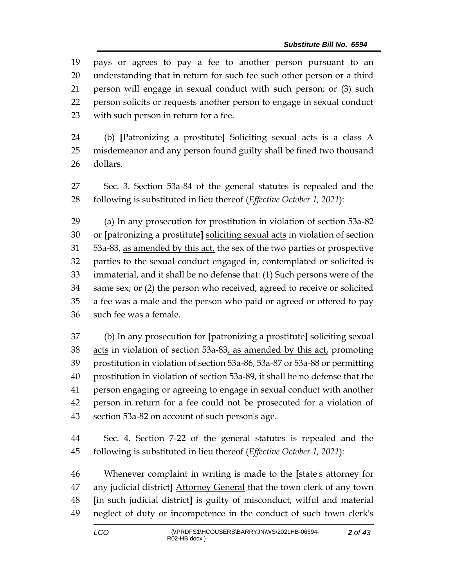pays or agrees to pay a fee to another person pursuant to an understanding that in return for such fee such other person or a third person will engage in sexual conduct with such person; or (3) such person solicits or requests another person to engage in sexual conduct with such person in return for a fee.

 (b) **[**Patronizing a prostitute**]** Soliciting sexual acts is a class A misdemeanor and any person found guilty shall be fined two thousand dollars.

 Sec. 3. Section 53a-84 of the general statutes is repealed and the following is substituted in lieu thereof (*Effective October 1, 2021*):

 (a) In any prosecution for prostitution in violation of section 53a-82 or **[**patronizing a prostitute**]** soliciting sexual acts in violation of section 53a-83, as amended by this act, the sex of the two parties or prospective parties to the sexual conduct engaged in, contemplated or solicited is immaterial, and it shall be no defense that: (1) Such persons were of the same sex; or (2) the person who received, agreed to receive or solicited a fee was a male and the person who paid or agreed or offered to pay such fee was a female.

 (b) In any prosecution for **[**patronizing a prostitute**]** soliciting sexual 38 acts in violation of section 53a-83, as amended by this act, promoting prostitution in violation of section 53a-86, 53a-87 or 53a-88 or permitting prostitution in violation of section 53a-89, it shall be no defense that the person engaging or agreeing to engage in sexual conduct with another person in return for a fee could not be prosecuted for a violation of section 53a-82 on account of such person's age.

 Sec. 4. Section 7-22 of the general statutes is repealed and the following is substituted in lieu thereof (*Effective October 1, 2021*):

 Whenever complaint in writing is made to the **[**state's attorney for any judicial district**]** Attorney General that the town clerk of any town **[**in such judicial district**]** is guilty of misconduct, wilful and material neglect of duty or incompetence in the conduct of such town clerk's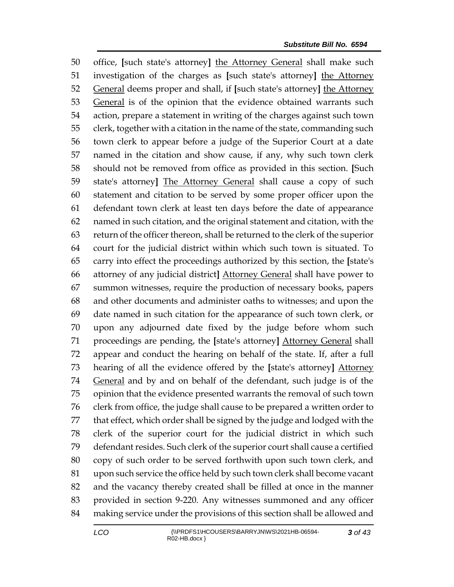office, **[**such state's attorney**]** the Attorney General shall make such investigation of the charges as **[**such state's attorney**]** the Attorney General deems proper and shall, if **[**such state's attorney**]** the Attorney General is of the opinion that the evidence obtained warrants such action, prepare a statement in writing of the charges against such town clerk, together with a citation in the name of the state, commanding such town clerk to appear before a judge of the Superior Court at a date named in the citation and show cause, if any, why such town clerk should not be removed from office as provided in this section. **[**Such state's attorney**]** The Attorney General shall cause a copy of such statement and citation to be served by some proper officer upon the defendant town clerk at least ten days before the date of appearance named in such citation, and the original statement and citation, with the return of the officer thereon, shall be returned to the clerk of the superior court for the judicial district within which such town is situated. To carry into effect the proceedings authorized by this section, the **[**state's attorney of any judicial district**]** Attorney General shall have power to summon witnesses, require the production of necessary books, papers and other documents and administer oaths to witnesses; and upon the date named in such citation for the appearance of such town clerk, or upon any adjourned date fixed by the judge before whom such proceedings are pending, the **[**state's attorney**]** Attorney General shall appear and conduct the hearing on behalf of the state. If, after a full hearing of all the evidence offered by the **[**state's attorney**]** Attorney General and by and on behalf of the defendant, such judge is of the opinion that the evidence presented warrants the removal of such town clerk from office, the judge shall cause to be prepared a written order to that effect, which order shall be signed by the judge and lodged with the clerk of the superior court for the judicial district in which such defendant resides. Such clerk of the superior court shall cause a certified copy of such order to be served forthwith upon such town clerk, and upon such service the office held by such town clerk shall become vacant and the vacancy thereby created shall be filled at once in the manner provided in section 9-220. Any witnesses summoned and any officer making service under the provisions of this section shall be allowed and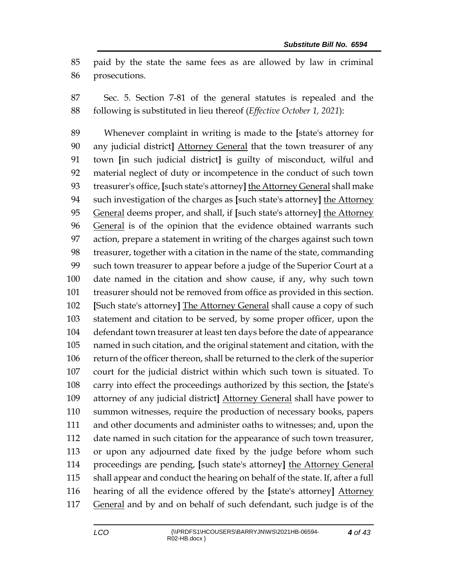paid by the state the same fees as are allowed by law in criminal prosecutions.

 Sec. 5. Section 7-81 of the general statutes is repealed and the following is substituted in lieu thereof (*Effective October 1, 2021*):

 Whenever complaint in writing is made to the **[**state's attorney for any judicial district**]** Attorney General that the town treasurer of any town **[**in such judicial district**]** is guilty of misconduct, wilful and material neglect of duty or incompetence in the conduct of such town treasurer's office, **[**such state's attorney**]** the Attorney General shall make such investigation of the charges as **[**such state's attorney**]** the Attorney General deems proper, and shall, if **[**such state's attorney**]** the Attorney General is of the opinion that the evidence obtained warrants such action, prepare a statement in writing of the charges against such town treasurer, together with a citation in the name of the state, commanding such town treasurer to appear before a judge of the Superior Court at a date named in the citation and show cause, if any, why such town treasurer should not be removed from office as provided in this section. **[**Such state's attorney**]** The Attorney General shall cause a copy of such statement and citation to be served, by some proper officer, upon the defendant town treasurer at least ten days before the date of appearance named in such citation, and the original statement and citation, with the return of the officer thereon, shall be returned to the clerk of the superior court for the judicial district within which such town is situated. To carry into effect the proceedings authorized by this section, the **[**state's attorney of any judicial district**]** Attorney General shall have power to summon witnesses, require the production of necessary books, papers and other documents and administer oaths to witnesses; and, upon the date named in such citation for the appearance of such town treasurer, or upon any adjourned date fixed by the judge before whom such proceedings are pending, **[**such state's attorney**]** the Attorney General shall appear and conduct the hearing on behalf of the state. If, after a full hearing of all the evidence offered by the **[**state's attorney**]** Attorney 117 General and by and on behalf of such defendant, such judge is of the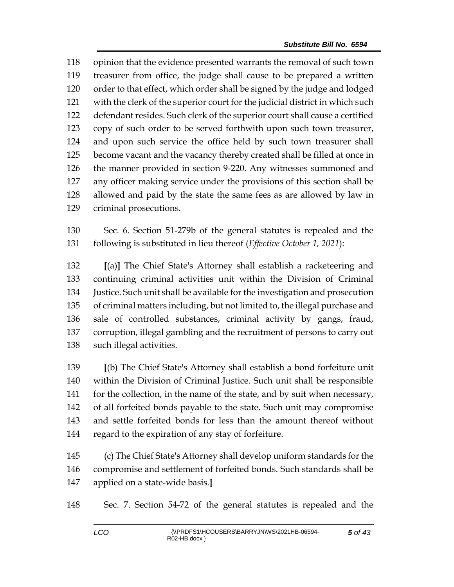opinion that the evidence presented warrants the removal of such town treasurer from office, the judge shall cause to be prepared a written order to that effect, which order shall be signed by the judge and lodged with the clerk of the superior court for the judicial district in which such defendant resides. Such clerk of the superior court shall cause a certified copy of such order to be served forthwith upon such town treasurer, and upon such service the office held by such town treasurer shall become vacant and the vacancy thereby created shall be filled at once in the manner provided in section 9-220. Any witnesses summoned and any officer making service under the provisions of this section shall be allowed and paid by the state the same fees as are allowed by law in criminal prosecutions.

 Sec. 6. Section 51-279b of the general statutes is repealed and the following is substituted in lieu thereof (*Effective October 1, 2021*):

 **[**(a)**]** The Chief State's Attorney shall establish a racketeering and continuing criminal activities unit within the Division of Criminal Justice. Such unit shall be available for the investigation and prosecution of criminal matters including, but not limited to, the illegal purchase and sale of controlled substances, criminal activity by gangs, fraud, corruption, illegal gambling and the recruitment of persons to carry out such illegal activities.

 **[**(b) The Chief State's Attorney shall establish a bond forfeiture unit within the Division of Criminal Justice. Such unit shall be responsible 141 for the collection, in the name of the state, and by suit when necessary, of all forfeited bonds payable to the state. Such unit may compromise and settle forfeited bonds for less than the amount thereof without regard to the expiration of any stay of forfeiture.

 (c) The Chief State's Attorney shall develop uniform standards for the compromise and settlement of forfeited bonds. Such standards shall be applied on a state-wide basis.**]**

Sec. 7. Section 54-72 of the general statutes is repealed and the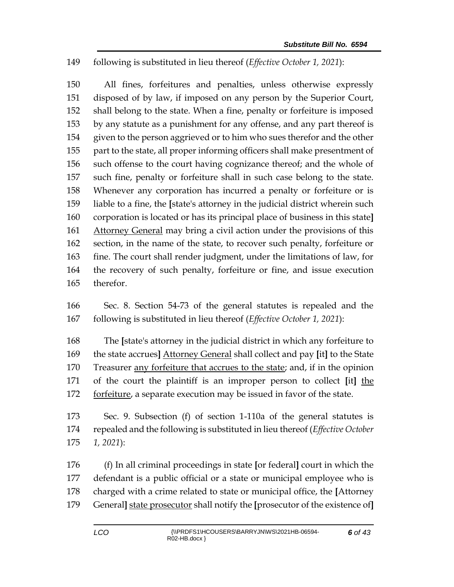## following is substituted in lieu thereof (*Effective October 1, 2021*):

 All fines, forfeitures and penalties, unless otherwise expressly disposed of by law, if imposed on any person by the Superior Court, shall belong to the state. When a fine, penalty or forfeiture is imposed by any statute as a punishment for any offense, and any part thereof is given to the person aggrieved or to him who sues therefor and the other part to the state, all proper informing officers shall make presentment of such offense to the court having cognizance thereof; and the whole of such fine, penalty or forfeiture shall in such case belong to the state. Whenever any corporation has incurred a penalty or forfeiture or is liable to a fine, the **[**state's attorney in the judicial district wherein such corporation is located or has its principal place of business in this state**]** 161 Attorney General may bring a civil action under the provisions of this section, in the name of the state, to recover such penalty, forfeiture or fine. The court shall render judgment, under the limitations of law, for the recovery of such penalty, forfeiture or fine, and issue execution therefor.

 Sec. 8. Section 54-73 of the general statutes is repealed and the following is substituted in lieu thereof (*Effective October 1, 2021*):

 The **[**state's attorney in the judicial district in which any forfeiture to the state accrues**]** Attorney General shall collect and pay **[**it**]** to the State Treasurer any forfeiture that accrues to the state; and, if in the opinion of the court the plaintiff is an improper person to collect **[**it**]** the forfeiture, a separate execution may be issued in favor of the state.

 Sec. 9. Subsection (f) of section 1-110a of the general statutes is repealed and the following is substituted in lieu thereof (*Effective October 1, 2021*):

 (f) In all criminal proceedings in state **[**or federal**]** court in which the defendant is a public official or a state or municipal employee who is charged with a crime related to state or municipal office, the **[**Attorney General**]** state prosecutor shall notify the **[**prosecutor of the existence of**]**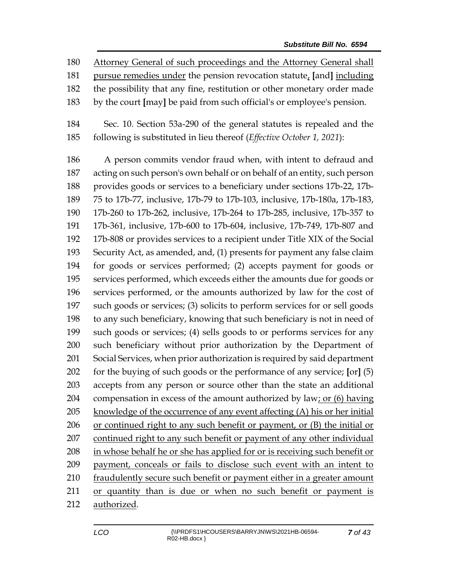Attorney General of such proceedings and the Attorney General shall

pursue remedies under the pension revocation statute, **[**and**]** including

- the possibility that any fine, restitution or other monetary order made
- by the court **[**may**]** be paid from such official's or employee's pension.
- Sec. 10. Section 53a-290 of the general statutes is repealed and the following is substituted in lieu thereof (*Effective October 1, 2021*):

 A person commits vendor fraud when, with intent to defraud and acting on such person's own behalf or on behalf of an entity, such person provides goods or services to a beneficiary under sections 17b-22, 17b- 75 to 17b-77, inclusive, 17b-79 to 17b-103, inclusive, 17b-180a, 17b-183, 17b-260 to 17b-262, inclusive, 17b-264 to 17b-285, inclusive, 17b-357 to 17b-361, inclusive, 17b-600 to 17b-604, inclusive, 17b-749, 17b-807 and 17b-808 or provides services to a recipient under Title XIX of the Social Security Act, as amended, and, (1) presents for payment any false claim for goods or services performed; (2) accepts payment for goods or services performed, which exceeds either the amounts due for goods or services performed, or the amounts authorized by law for the cost of such goods or services; (3) solicits to perform services for or sell goods to any such beneficiary, knowing that such beneficiary is not in need of such goods or services; (4) sells goods to or performs services for any such beneficiary without prior authorization by the Department of Social Services, when prior authorization is required by said department for the buying of such goods or the performance of any service; **[**or**]** (5) accepts from any person or source other than the state an additional 204 compensation in excess of the amount authorized by law; or (6) having knowledge of the occurrence of any event affecting (A) his or her initial or continued right to any such benefit or payment, or (B) the initial or 207 continued right to any such benefit or payment of any other individual in whose behalf he or she has applied for or is receiving such benefit or payment, conceals or fails to disclose such event with an intent to fraudulently secure such benefit or payment either in a greater amount or quantity than is due or when no such benefit or payment is authorized.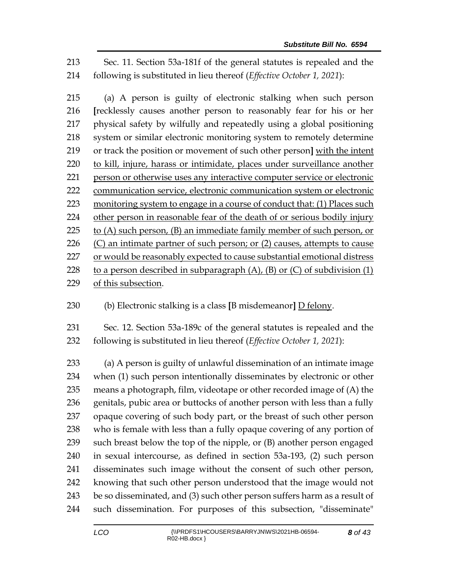Sec. 11. Section 53a-181f of the general statutes is repealed and the following is substituted in lieu thereof (*Effective October 1, 2021*):

 (a) A person is guilty of electronic stalking when such person **[**recklessly causes another person to reasonably fear for his or her physical safety by wilfully and repeatedly using a global positioning system or similar electronic monitoring system to remotely determine or track the position or movement of such other person**]** with the intent to kill, injure, harass or intimidate, places under surveillance another person or otherwise uses any interactive computer service or electronic communication service, electronic communication system or electronic monitoring system to engage in a course of conduct that: (1) Places such other person in reasonable fear of the death of or [serious bodily injury](https://www.law.cornell.edu/definitions/uscode.php?width=840&height=800&iframe=true&def_id=18-USC-402227300-1416750995&term_occur=999&term_src=title:18:part:I:chapter:110A:section:2261A) 225 to  $(A)$  such person,  $(B)$  an immediate family member of such person, or  $(C)$  an intimate partner of such person; or  $(2)$  causes, attempts to cause 227 or would be reasonably expected to cause substantial emotional distress 228 to a person described in subparagraph  $(A)$ ,  $(B)$  or  $(C)$  of subdivision  $(1)$ of this subsection.

(b) Electronic stalking is a class **[**B misdemeanor**]** D felony.

 Sec. 12. Section 53a-189c of the general statutes is repealed and the following is substituted in lieu thereof (*Effective October 1, 2021*):

 (a) A person is guilty of unlawful dissemination of an intimate image when (1) such person intentionally disseminates by electronic or other means a photograph, film, videotape or other recorded image of (A) the genitals, pubic area or buttocks of another person with less than a fully opaque covering of such body part, or the breast of such other person who is female with less than a fully opaque covering of any portion of such breast below the top of the nipple, or (B) another person engaged in sexual intercourse, as defined in section 53a-193, (2) such person disseminates such image without the consent of such other person, knowing that such other person understood that the image would not be so disseminated, and (3) such other person suffers harm as a result of such dissemination. For purposes of this subsection, "disseminate"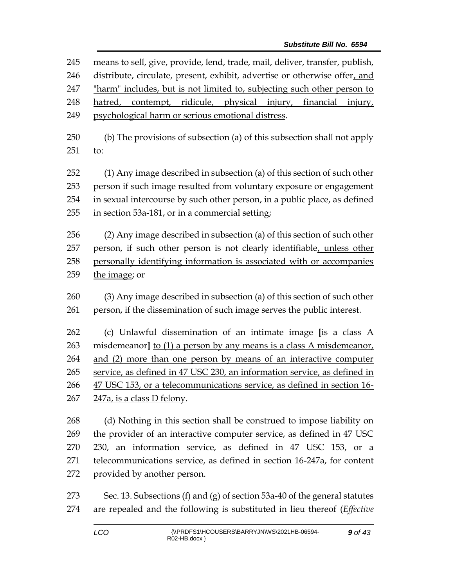means to sell, give, provide, lend, trade, mail, deliver, transfer, publish, distribute, circulate, present, exhibit, advertise or otherwise offer, and "harm" includes, but is not limited to, subjecting such other person to hatred, contempt, ridicule, physical injury, financial injury, psychological harm or serious emotional distress. (b) The provisions of subsection (a) of this subsection shall not apply to: (1) Any image described in subsection (a) of this section of such other person if such image resulted from voluntary exposure or engagement in sexual intercourse by such other person, in a public place, as defined in section 53a-181, or in a commercial setting; (2) Any image described in subsection (a) of this section of such other 257 person, if such other person is not clearly identifiable, unless other personally identifying information is associated with or accompanies the image; or (3) Any image described in subsection (a) of this section of such other person, if the dissemination of such image serves the public interest. (c) Unlawful dissemination of an intimate image **[**is a class A misdemeanor**]** to (1) a person by any means is a class A misdemeanor, and (2) more than one person by means of an interactive computer service, as defined in 47 USC 230, an information service, as defined in 47 USC 153, or a telecommunications service, as defined in section 16- 247a, is a class D felony. (d) Nothing in this section shall be construed to impose liability on the provider of an interactive computer service, as defined in 47 USC 230, an information service, as defined in 47 USC 153, or a telecommunications service, as defined in section 16-247a, for content provided by another person. Sec. 13. Subsections (f) and (g) of section 53a-40 of the general statutes

are repealed and the following is substituted in lieu thereof (*Effective*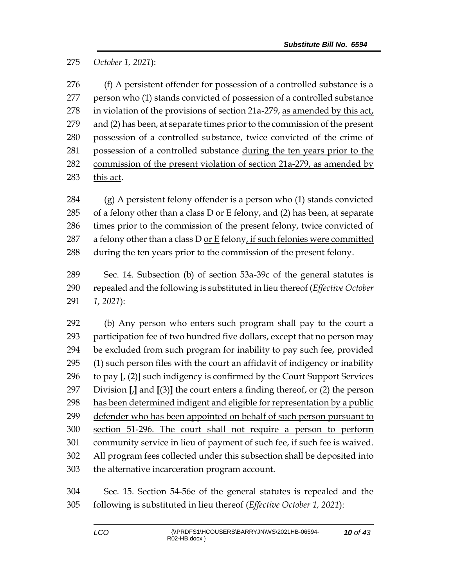*October 1, 2021*):

276 (f) A persistent offender for possession of a controlled substance is a person who (1) stands convicted of possession of a controlled substance in violation of the provisions of section 21a-279, as amended by this act, and (2) has been, at separate times prior to the commission of the present possession of a controlled substance, twice convicted of the crime of possession of a controlled substance during the ten years prior to the commission of the present violation of section 21a-279, as amended by this act.

 (g) A persistent felony offender is a person who (1) stands convicted 285 of a felony other than a class  $D$  or  $E$  felony, and (2) has been, at separate times prior to the commission of the present felony, twice convicted of 287 a felony other than a class D <u>or E</u> felony, if such felonies were committed 288 during the ten years prior to the commission of the present felony.

 Sec. 14. Subsection (b) of section 53a-39c of the general statutes is repealed and the following is substituted in lieu thereof (*Effective October 1, 2021*):

 (b) Any person who enters such program shall pay to the court a participation fee of two hundred five dollars, except that no person may be excluded from such program for inability to pay such fee, provided (1) such person files with the court an affidavit of indigency or inability to pay **[**, (2)**]** such indigency is confirmed by the Court Support Services Division **[**,**]** and **[**(3)**]** the court enters a finding thereof, or (2) the person has been determined indigent and eligible for representation by a public defender who has been appointed on behalf of such person pursuant to section 51-296. The court shall not require a person to perform community service in lieu of payment of such fee, if such fee is waived. All program fees collected under this subsection shall be deposited into the alternative incarceration program account.

 Sec. 15. Section 54-56e of the general statutes is repealed and the following is substituted in lieu thereof (*Effective October 1, 2021*):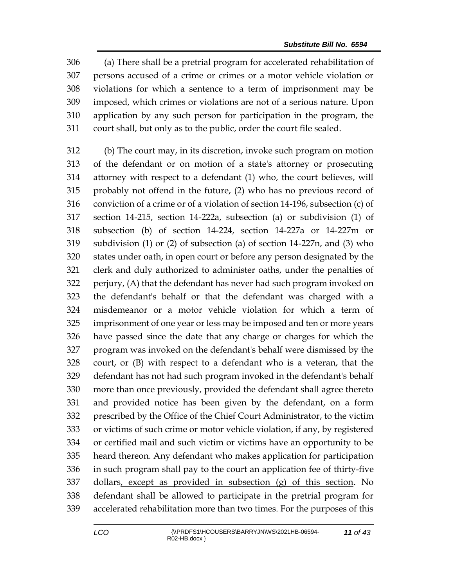(a) There shall be a pretrial program for accelerated rehabilitation of persons accused of a crime or crimes or a motor vehicle violation or violations for which a sentence to a term of imprisonment may be imposed, which crimes or violations are not of a serious nature. Upon application by any such person for participation in the program, the court shall, but only as to the public, order the court file sealed.

 (b) The court may, in its discretion, invoke such program on motion of the defendant or on motion of a state's attorney or prosecuting attorney with respect to a defendant (1) who, the court believes, will probably not offend in the future, (2) who has no previous record of conviction of a crime or of a violation of section 14-196, subsection (c) of section 14-215, section 14-222a, subsection (a) or subdivision (1) of subsection (b) of section 14-224, section 14-227a or 14-227m or subdivision (1) or (2) of subsection (a) of section 14-227n, and (3) who states under oath, in open court or before any person designated by the clerk and duly authorized to administer oaths, under the penalties of perjury, (A) that the defendant has never had such program invoked on the defendant's behalf or that the defendant was charged with a misdemeanor or a motor vehicle violation for which a term of imprisonment of one year or less may be imposed and ten or more years have passed since the date that any charge or charges for which the program was invoked on the defendant's behalf were dismissed by the court, or (B) with respect to a defendant who is a veteran, that the defendant has not had such program invoked in the defendant's behalf more than once previously, provided the defendant shall agree thereto and provided notice has been given by the defendant, on a form prescribed by the Office of the Chief Court Administrator, to the victim or victims of such crime or motor vehicle violation, if any, by registered or certified mail and such victim or victims have an opportunity to be heard thereon. Any defendant who makes application for participation in such program shall pay to the court an application fee of thirty-five dollars, except as provided in subsection (g) of this section. No defendant shall be allowed to participate in the pretrial program for accelerated rehabilitation more than two times. For the purposes of this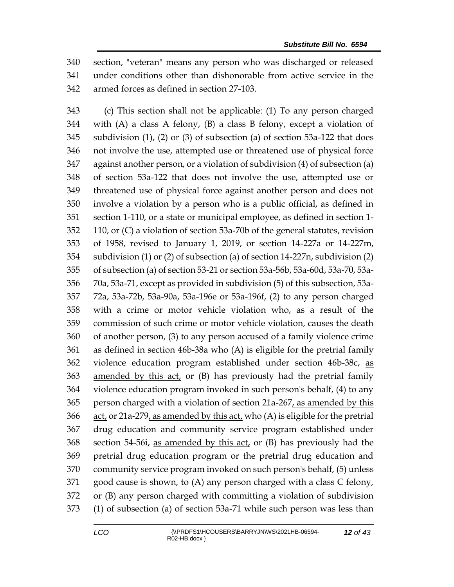section, "veteran" means any person who was discharged or released under conditions other than dishonorable from active service in the armed forces as defined in section 27-103.

 (c) This section shall not be applicable: (1) To any person charged with (A) a class A felony, (B) a class B felony, except a violation of subdivision (1), (2) or (3) of subsection (a) of section 53a-122 that does not involve the use, attempted use or threatened use of physical force against another person, or a violation of subdivision (4) of subsection (a) of section 53a-122 that does not involve the use, attempted use or threatened use of physical force against another person and does not involve a violation by a person who is a public official, as defined in section 1-110, or a state or municipal employee, as defined in section 1- 110, or (C) a violation of section 53a-70b of the general statutes, revision of 1958, revised to January 1, 2019, or section 14-227a or 14-227m, subdivision (1) or (2) of subsection (a) of section 14-227n, subdivision (2) of subsection (a) of section 53-21 or section 53a-56b, 53a-60d, 53a-70, 53a- 70a, 53a-71, except as provided in subdivision (5) of this subsection, 53a- 72a, 53a-72b, 53a-90a, 53a-196e or 53a-196f, (2) to any person charged with a crime or motor vehicle violation who, as a result of the commission of such crime or motor vehicle violation, causes the death of another person, (3) to any person accused of a family violence crime as defined in section 46b-38a who (A) is eligible for the pretrial family violence education program established under section 46b-38c, as amended by this act, or (B) has previously had the pretrial family violence education program invoked in such person's behalf, (4) to any person charged with a violation of section 21a-267, as amended by this act, or 21a-279, as amended by this act, who (A) is eligible for the pretrial drug education and community service program established under section 54-56i, as amended by this act, or (B) has previously had the pretrial drug education program or the pretrial drug education and community service program invoked on such person's behalf, (5) unless good cause is shown, to (A) any person charged with a class C felony, or (B) any person charged with committing a violation of subdivision (1) of subsection (a) of section 53a-71 while such person was less than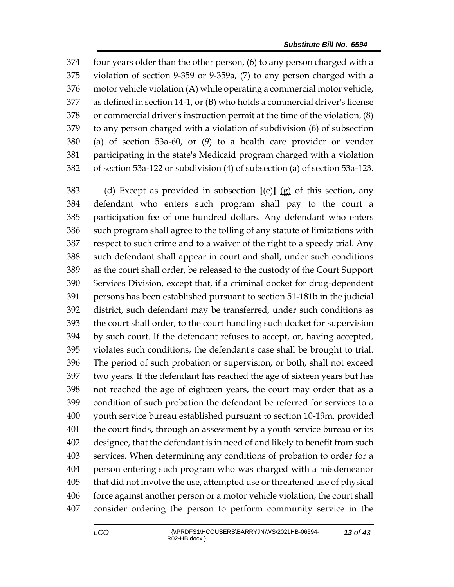four years older than the other person, (6) to any person charged with a violation of section 9-359 or 9-359a, (7) to any person charged with a motor vehicle violation (A) while operating a commercial motor vehicle, as defined in section 14-1, or (B) who holds a commercial driver's license or commercial driver's instruction permit at the time of the violation, (8) to any person charged with a violation of subdivision (6) of subsection (a) of section 53a-60, or (9) to a health care provider or vendor participating in the state's Medicaid program charged with a violation of section 53a-122 or subdivision (4) of subsection (a) of section 53a-123.

 (d) Except as provided in subsection **[**(e)**]** (g) of this section, any defendant who enters such program shall pay to the court a participation fee of one hundred dollars. Any defendant who enters such program shall agree to the tolling of any statute of limitations with respect to such crime and to a waiver of the right to a speedy trial. Any such defendant shall appear in court and shall, under such conditions as the court shall order, be released to the custody of the Court Support Services Division, except that, if a criminal docket for drug-dependent persons has been established pursuant to section 51-181b in the judicial district, such defendant may be transferred, under such conditions as the court shall order, to the court handling such docket for supervision by such court. If the defendant refuses to accept, or, having accepted, violates such conditions, the defendant's case shall be brought to trial. The period of such probation or supervision, or both, shall not exceed two years. If the defendant has reached the age of sixteen years but has not reached the age of eighteen years, the court may order that as a condition of such probation the defendant be referred for services to a youth service bureau established pursuant to section 10-19m, provided the court finds, through an assessment by a youth service bureau or its designee, that the defendant is in need of and likely to benefit from such services. When determining any conditions of probation to order for a person entering such program who was charged with a misdemeanor that did not involve the use, attempted use or threatened use of physical force against another person or a motor vehicle violation, the court shall consider ordering the person to perform community service in the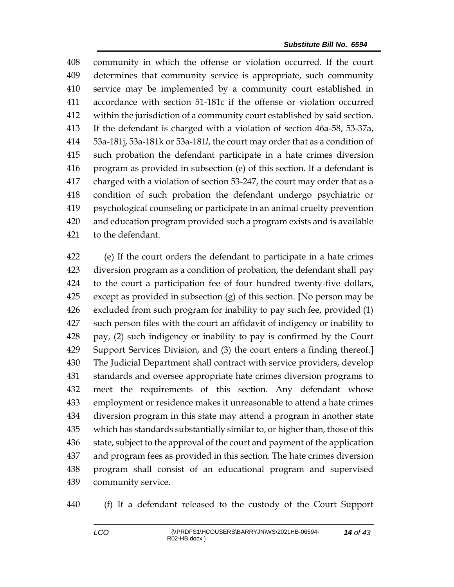community in which the offense or violation occurred. If the court determines that community service is appropriate, such community service may be implemented by a community court established in accordance with section 51-181c if the offense or violation occurred within the jurisdiction of a community court established by said section. If the defendant is charged with a violation of section 46a-58, 53-37a, 53a-181j, 53a-181k or 53a-181*l*, the court may order that as a condition of such probation the defendant participate in a hate crimes diversion program as provided in subsection (e) of this section. If a defendant is charged with a violation of section 53-247, the court may order that as a condition of such probation the defendant undergo psychiatric or psychological counseling or participate in an animal cruelty prevention and education program provided such a program exists and is available to the defendant.

 (e) If the court orders the defendant to participate in a hate crimes diversion program as a condition of probation, the defendant shall pay to the court a participation fee of four hundred twenty-five dollars, except as provided in subsection (g) of this section. **[**No person may be excluded from such program for inability to pay such fee, provided (1) such person files with the court an affidavit of indigency or inability to pay, (2) such indigency or inability to pay is confirmed by the Court Support Services Division, and (3) the court enters a finding thereof.**]** The Judicial Department shall contract with service providers, develop standards and oversee appropriate hate crimes diversion programs to meet the requirements of this section. Any defendant whose employment or residence makes it unreasonable to attend a hate crimes diversion program in this state may attend a program in another state which has standards substantially similar to, or higher than, those of this 436 state, subject to the approval of the court and payment of the application and program fees as provided in this section. The hate crimes diversion program shall consist of an educational program and supervised community service.

(f) If a defendant released to the custody of the Court Support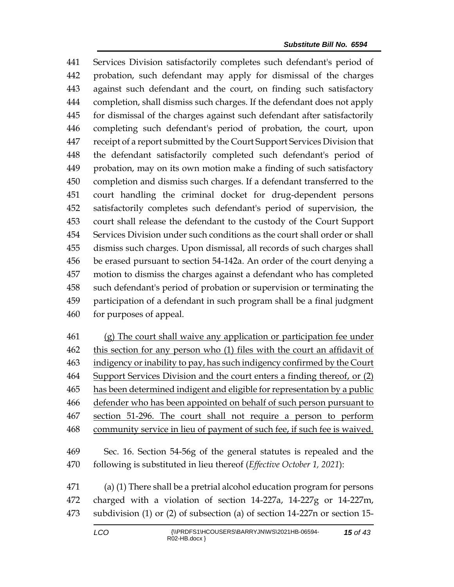Services Division satisfactorily completes such defendant's period of probation, such defendant may apply for dismissal of the charges against such defendant and the court, on finding such satisfactory completion, shall dismiss such charges. If the defendant does not apply for dismissal of the charges against such defendant after satisfactorily completing such defendant's period of probation, the court, upon receipt of a report submitted by the Court Support Services Division that the defendant satisfactorily completed such defendant's period of probation, may on its own motion make a finding of such satisfactory completion and dismiss such charges. If a defendant transferred to the court handling the criminal docket for drug-dependent persons satisfactorily completes such defendant's period of supervision, the court shall release the defendant to the custody of the Court Support Services Division under such conditions as the court shall order or shall dismiss such charges. Upon dismissal, all records of such charges shall be erased pursuant to section 54-142a. An order of the court denying a motion to dismiss the charges against a defendant who has completed such defendant's period of probation or supervision or terminating the participation of a defendant in such program shall be a final judgment for purposes of appeal.

 (g) The court shall waive any application or participation fee under this section for any person who (1) files with the court an affidavit of indigency or inability to pay, has such indigency confirmed by the Court Support Services Division and the court enters a finding thereof, or (2) has been determined indigent and eligible for representation by a public defender who has been appointed on behalf of such person pursuant to section 51-296. The court shall not require a person to perform 468 community service in lieu of payment of such fee, if such fee is waived.

 Sec. 16. Section 54-56g of the general statutes is repealed and the following is substituted in lieu thereof (*Effective October 1, 2021*):

 (a) (1) There shall be a pretrial alcohol education program for persons charged with a violation of section 14-227a, 14-227g or 14-227m, subdivision (1) or (2) of subsection (a) of section 14-227n or section 15-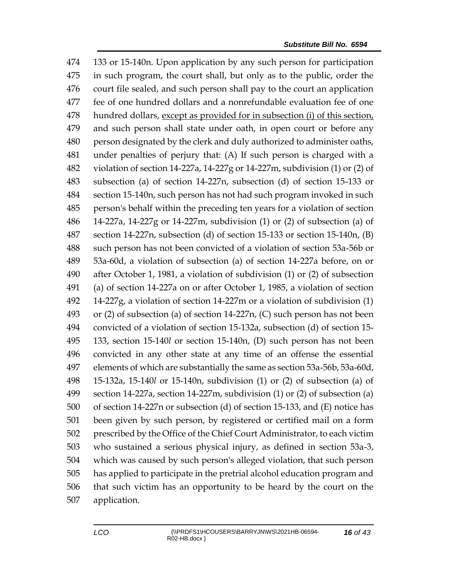133 or 15-140n. Upon application by any such person for participation in such program, the court shall, but only as to the public, order the court file sealed, and such person shall pay to the court an application fee of one hundred dollars and a nonrefundable evaluation fee of one hundred dollars, except as provided for in subsection (i) of this section, and such person shall state under oath, in open court or before any person designated by the clerk and duly authorized to administer oaths, under penalties of perjury that: (A) If such person is charged with a violation of section 14-227a, 14-227g or 14-227m, subdivision (1) or (2) of subsection (a) of section 14-227n, subsection (d) of section 15-133 or section 15-140n, such person has not had such program invoked in such person's behalf within the preceding ten years for a violation of section 14-227a, 14-227g or 14-227m, subdivision (1) or (2) of subsection (a) of section 14-227n, subsection (d) of section 15-133 or section 15-140n, (B) such person has not been convicted of a violation of section 53a-56b or 53a-60d, a violation of subsection (a) of section 14-227a before, on or after October 1, 1981, a violation of subdivision (1) or (2) of subsection (a) of section 14-227a on or after October 1, 1985, a violation of section 14-227g, a violation of section 14-227m or a violation of subdivision (1) or (2) of subsection (a) of section 14-227n, (C) such person has not been convicted of a violation of section 15-132a, subsection (d) of section 15- 133, section 15-140*l* or section 15-140n, (D) such person has not been convicted in any other state at any time of an offense the essential elements of which are substantially the same as section 53a-56b, 53a-60d, 15-132a, 15-140*l* or 15-140n, subdivision (1) or (2) of subsection (a) of section 14-227a, section 14-227m, subdivision (1) or (2) of subsection (a) of section 14-227n or subsection (d) of section 15-133, and (E) notice has been given by such person, by registered or certified mail on a form prescribed by the Office of the Chief Court Administrator, to each victim who sustained a serious physical injury, as defined in section 53a-3, which was caused by such person's alleged violation, that such person has applied to participate in the pretrial alcohol education program and that such victim has an opportunity to be heard by the court on the application.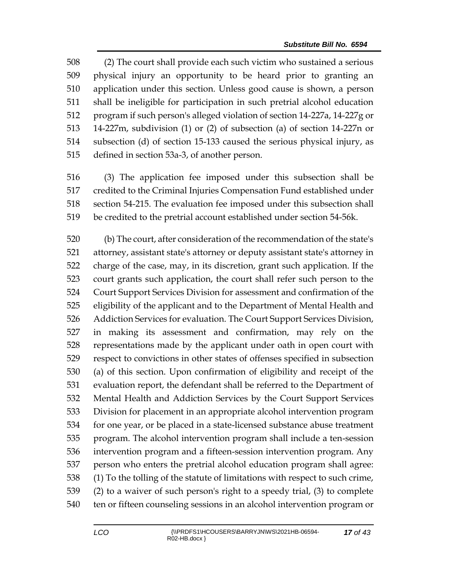(2) The court shall provide each such victim who sustained a serious physical injury an opportunity to be heard prior to granting an application under this section. Unless good cause is shown, a person shall be ineligible for participation in such pretrial alcohol education program if such person's alleged violation of section 14-227a, 14-227g or 14-227m, subdivision (1) or (2) of subsection (a) of section 14-227n or subsection (d) of section 15-133 caused the serious physical injury, as defined in section 53a-3, of another person.

 (3) The application fee imposed under this subsection shall be credited to the Criminal Injuries Compensation Fund established under section 54-215. The evaluation fee imposed under this subsection shall be credited to the pretrial account established under section 54-56k.

 (b) The court, after consideration of the recommendation of the state's attorney, assistant state's attorney or deputy assistant state's attorney in charge of the case, may, in its discretion, grant such application. If the court grants such application, the court shall refer such person to the Court Support Services Division for assessment and confirmation of the eligibility of the applicant and to the Department of Mental Health and Addiction Services for evaluation. The Court Support Services Division, in making its assessment and confirmation, may rely on the representations made by the applicant under oath in open court with respect to convictions in other states of offenses specified in subsection (a) of this section. Upon confirmation of eligibility and receipt of the evaluation report, the defendant shall be referred to the Department of Mental Health and Addiction Services by the Court Support Services Division for placement in an appropriate alcohol intervention program for one year, or be placed in a state-licensed substance abuse treatment program. The alcohol intervention program shall include a ten-session intervention program and a fifteen-session intervention program. Any person who enters the pretrial alcohol education program shall agree: (1) To the tolling of the statute of limitations with respect to such crime, (2) to a waiver of such person's right to a speedy trial, (3) to complete ten or fifteen counseling sessions in an alcohol intervention program or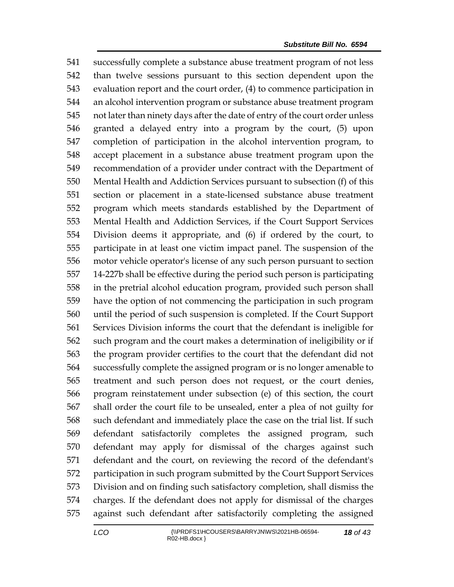successfully complete a substance abuse treatment program of not less than twelve sessions pursuant to this section dependent upon the evaluation report and the court order, (4) to commence participation in an alcohol intervention program or substance abuse treatment program not later than ninety days after the date of entry of the court order unless granted a delayed entry into a program by the court, (5) upon completion of participation in the alcohol intervention program, to accept placement in a substance abuse treatment program upon the recommendation of a provider under contract with the Department of Mental Health and Addiction Services pursuant to subsection (f) of this section or placement in a state-licensed substance abuse treatment program which meets standards established by the Department of Mental Health and Addiction Services, if the Court Support Services Division deems it appropriate, and (6) if ordered by the court, to participate in at least one victim impact panel. The suspension of the motor vehicle operator's license of any such person pursuant to section 14-227b shall be effective during the period such person is participating in the pretrial alcohol education program, provided such person shall have the option of not commencing the participation in such program until the period of such suspension is completed. If the Court Support Services Division informs the court that the defendant is ineligible for such program and the court makes a determination of ineligibility or if the program provider certifies to the court that the defendant did not successfully complete the assigned program or is no longer amenable to treatment and such person does not request, or the court denies, program reinstatement under subsection (e) of this section, the court shall order the court file to be unsealed, enter a plea of not guilty for such defendant and immediately place the case on the trial list. If such defendant satisfactorily completes the assigned program, such defendant may apply for dismissal of the charges against such defendant and the court, on reviewing the record of the defendant's participation in such program submitted by the Court Support Services Division and on finding such satisfactory completion, shall dismiss the charges. If the defendant does not apply for dismissal of the charges against such defendant after satisfactorily completing the assigned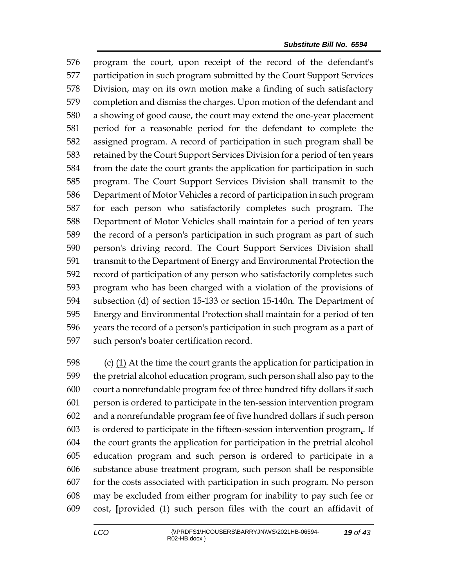program the court, upon receipt of the record of the defendant's participation in such program submitted by the Court Support Services Division, may on its own motion make a finding of such satisfactory completion and dismiss the charges. Upon motion of the defendant and a showing of good cause, the court may extend the one-year placement period for a reasonable period for the defendant to complete the assigned program. A record of participation in such program shall be retained by the Court Support Services Division for a period of ten years from the date the court grants the application for participation in such program. The Court Support Services Division shall transmit to the Department of Motor Vehicles a record of participation in such program for each person who satisfactorily completes such program. The Department of Motor Vehicles shall maintain for a period of ten years the record of a person's participation in such program as part of such person's driving record. The Court Support Services Division shall transmit to the Department of Energy and Environmental Protection the record of participation of any person who satisfactorily completes such program who has been charged with a violation of the provisions of subsection (d) of section 15-133 or section 15-140n. The Department of Energy and Environmental Protection shall maintain for a period of ten years the record of a person's participation in such program as a part of such person's boater certification record.

 (c) (1) At the time the court grants the application for participation in the pretrial alcohol education program, such person shall also pay to the court a nonrefundable program fee of three hundred fifty dollars if such person is ordered to participate in the ten-session intervention program and a nonrefundable program fee of five hundred dollars if such person is ordered to participate in the fifteen-session intervention program,. If the court grants the application for participation in the pretrial alcohol education program and such person is ordered to participate in a substance abuse treatment program, such person shall be responsible for the costs associated with participation in such program. No person may be excluded from either program for inability to pay such fee or cost, **[**provided (1) such person files with the court an affidavit of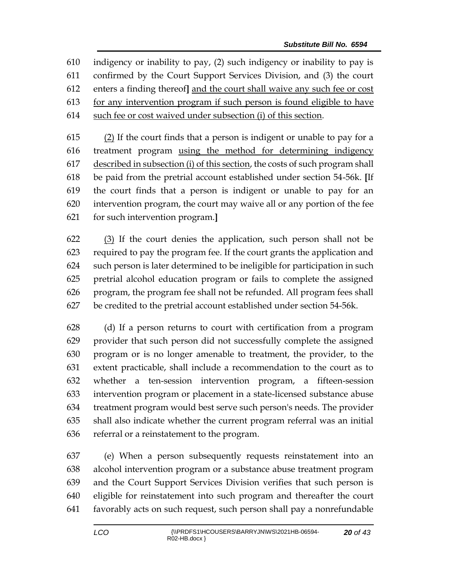indigency or inability to pay, (2) such indigency or inability to pay is confirmed by the Court Support Services Division, and (3) the court enters a finding thereof**]** and the court shall waive any such fee or cost for any intervention program if such person is found eligible to have such fee or cost waived under subsection (i) of this section.

 $(2)$  If the court finds that a person is indigent or unable to pay for a treatment program using the method for determining indigency described in subsection (i) of this section, the costs of such program shall be paid from the pretrial account established under section 54-56k. **[**If the court finds that a person is indigent or unable to pay for an intervention program, the court may waive all or any portion of the fee for such intervention program.**]**

 (3) If the court denies the application, such person shall not be required to pay the program fee. If the court grants the application and such person is later determined to be ineligible for participation in such pretrial alcohol education program or fails to complete the assigned program, the program fee shall not be refunded. All program fees shall be credited to the pretrial account established under section 54-56k.

 (d) If a person returns to court with certification from a program provider that such person did not successfully complete the assigned program or is no longer amenable to treatment, the provider, to the extent practicable, shall include a recommendation to the court as to whether a ten-session intervention program, a fifteen-session intervention program or placement in a state-licensed substance abuse treatment program would best serve such person's needs. The provider shall also indicate whether the current program referral was an initial referral or a reinstatement to the program.

 (e) When a person subsequently requests reinstatement into an alcohol intervention program or a substance abuse treatment program and the Court Support Services Division verifies that such person is eligible for reinstatement into such program and thereafter the court favorably acts on such request, such person shall pay a nonrefundable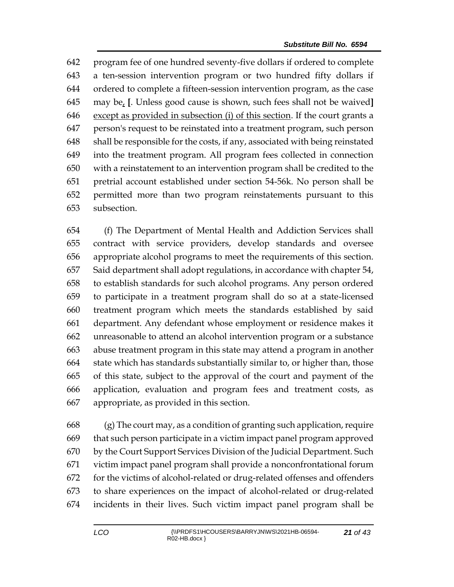program fee of one hundred seventy-five dollars if ordered to complete a ten-session intervention program or two hundred fifty dollars if ordered to complete a fifteen-session intervention program, as the case may be, **[**. Unless good cause is shown, such fees shall not be waived**]** except as provided in subsection (i) of this section. If the court grants a person's request to be reinstated into a treatment program, such person shall be responsible for the costs, if any, associated with being reinstated into the treatment program. All program fees collected in connection with a reinstatement to an intervention program shall be credited to the pretrial account established under section 54-56k. No person shall be permitted more than two program reinstatements pursuant to this subsection.

 (f) The Department of Mental Health and Addiction Services shall contract with service providers, develop standards and oversee appropriate alcohol programs to meet the requirements of this section. Said department shall adopt regulations, in accordance with chapter 54, to establish standards for such alcohol programs. Any person ordered to participate in a treatment program shall do so at a state-licensed treatment program which meets the standards established by said department. Any defendant whose employment or residence makes it unreasonable to attend an alcohol intervention program or a substance abuse treatment program in this state may attend a program in another state which has standards substantially similar to, or higher than, those of this state, subject to the approval of the court and payment of the application, evaluation and program fees and treatment costs, as appropriate, as provided in this section.

 (g) The court may, as a condition of granting such application, require that such person participate in a victim impact panel program approved by the Court Support Services Division of the Judicial Department. Such victim impact panel program shall provide a nonconfrontational forum for the victims of alcohol-related or drug-related offenses and offenders to share experiences on the impact of alcohol-related or drug-related incidents in their lives. Such victim impact panel program shall be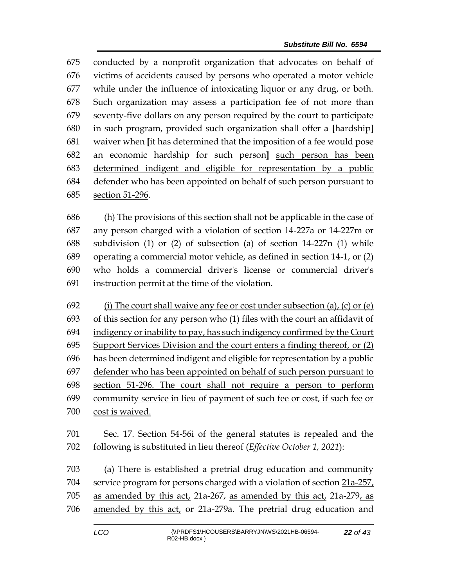conducted by a nonprofit organization that advocates on behalf of victims of accidents caused by persons who operated a motor vehicle while under the influence of intoxicating liquor or any drug, or both. Such organization may assess a participation fee of not more than seventy-five dollars on any person required by the court to participate in such program, provided such organization shall offer a **[**hardship**]** waiver when **[**it has determined that the imposition of a fee would pose an economic hardship for such person**]** such person has been determined indigent and eligible for representation by a public defender who has been appointed on behalf of such person pursuant to section 51-296.

 (h) The provisions of this section shall not be applicable in the case of any person charged with a violation of section 14-227a or 14-227m or subdivision (1) or (2) of subsection (a) of section 14-227n (1) while operating a commercial motor vehicle, as defined in section 14-1, or (2) who holds a commercial driver's license or commercial driver's instruction permit at the time of the violation.

692 (i) The court shall waive any fee or cost under subsection (a), (c) or (e) 693 of this section for any person who (1) files with the court an affidavit of indigency or inability to pay, has such indigency confirmed by the Court Support Services Division and the court enters a finding thereof, or (2) has been determined indigent and eligible for representation by a public defender who has been appointed on behalf of such person pursuant to section 51-296. The court shall not require a person to perform community service in lieu of payment of such fee or cost, if such fee or cost is waived.

 Sec. 17. Section 54-56i of the general statutes is repealed and the following is substituted in lieu thereof (*Effective October 1, 2021*):

 (a) There is established a pretrial drug education and community service program for persons charged with a violation of section 21a-257, as amended by this act, 21a-267, as amended by this act, 21a-279, as 706 amended by this act, or 21a-279a. The pretrial drug education and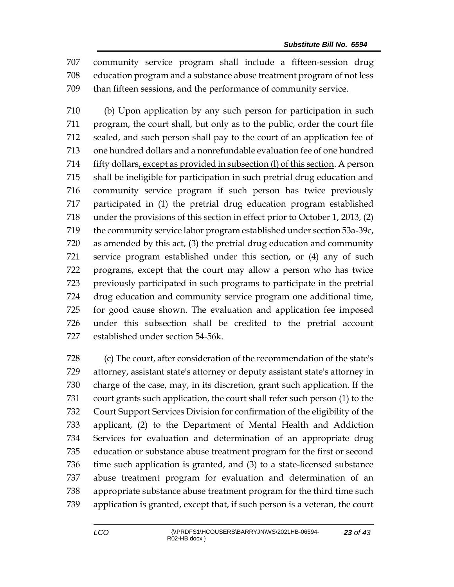community service program shall include a fifteen-session drug education program and a substance abuse treatment program of not less than fifteen sessions, and the performance of community service.

 (b) Upon application by any such person for participation in such program, the court shall, but only as to the public, order the court file sealed, and such person shall pay to the court of an application fee of one hundred dollars and a nonrefundable evaluation fee of one hundred fifty dollars, except as provided in subsection (l) of this section. A person shall be ineligible for participation in such pretrial drug education and community service program if such person has twice previously participated in (1) the pretrial drug education program established under the provisions of this section in effect prior to October 1, 2013, (2) the community service labor program established under section 53a-39c, as amended by this act, (3) the pretrial drug education and community service program established under this section, or (4) any of such programs, except that the court may allow a person who has twice previously participated in such programs to participate in the pretrial drug education and community service program one additional time, for good cause shown. The evaluation and application fee imposed under this subsection shall be credited to the pretrial account established under section 54-56k.

 (c) The court, after consideration of the recommendation of the state's attorney, assistant state's attorney or deputy assistant state's attorney in charge of the case, may, in its discretion, grant such application. If the court grants such application, the court shall refer such person (1) to the Court Support Services Division for confirmation of the eligibility of the applicant, (2) to the Department of Mental Health and Addiction Services for evaluation and determination of an appropriate drug education or substance abuse treatment program for the first or second time such application is granted, and (3) to a state-licensed substance abuse treatment program for evaluation and determination of an appropriate substance abuse treatment program for the third time such application is granted, except that, if such person is a veteran, the court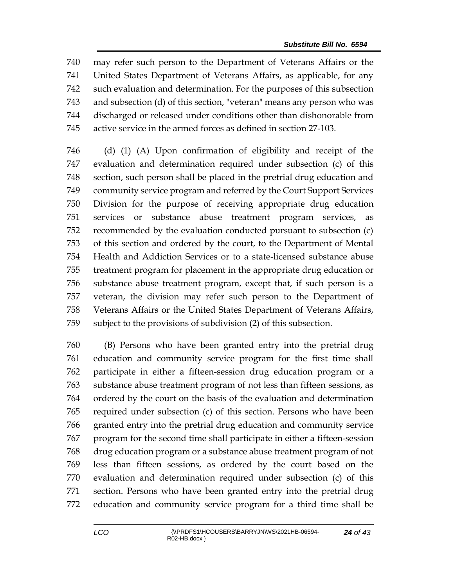may refer such person to the Department of Veterans Affairs or the United States Department of Veterans Affairs, as applicable, for any such evaluation and determination. For the purposes of this subsection and subsection (d) of this section, "veteran" means any person who was discharged or released under conditions other than dishonorable from active service in the armed forces as defined in section 27-103.

 (d) (1) (A) Upon confirmation of eligibility and receipt of the evaluation and determination required under subsection (c) of this section, such person shall be placed in the pretrial drug education and community service program and referred by the Court Support Services Division for the purpose of receiving appropriate drug education services or substance abuse treatment program services, as recommended by the evaluation conducted pursuant to subsection (c) of this section and ordered by the court, to the Department of Mental Health and Addiction Services or to a state-licensed substance abuse treatment program for placement in the appropriate drug education or substance abuse treatment program, except that, if such person is a veteran, the division may refer such person to the Department of Veterans Affairs or the United States Department of Veterans Affairs, subject to the provisions of subdivision (2) of this subsection.

 (B) Persons who have been granted entry into the pretrial drug education and community service program for the first time shall participate in either a fifteen-session drug education program or a substance abuse treatment program of not less than fifteen sessions, as ordered by the court on the basis of the evaluation and determination required under subsection (c) of this section. Persons who have been granted entry into the pretrial drug education and community service program for the second time shall participate in either a fifteen-session drug education program or a substance abuse treatment program of not less than fifteen sessions, as ordered by the court based on the evaluation and determination required under subsection (c) of this section. Persons who have been granted entry into the pretrial drug education and community service program for a third time shall be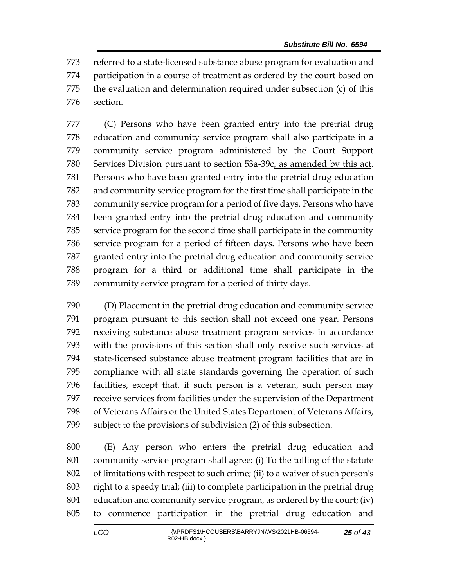referred to a state-licensed substance abuse program for evaluation and participation in a course of treatment as ordered by the court based on the evaluation and determination required under subsection (c) of this section.

 (C) Persons who have been granted entry into the pretrial drug education and community service program shall also participate in a community service program administered by the Court Support Services Division pursuant to section 53a-39c, as amended by this act. Persons who have been granted entry into the pretrial drug education and community service program for the first time shall participate in the community service program for a period of five days. Persons who have been granted entry into the pretrial drug education and community service program for the second time shall participate in the community service program for a period of fifteen days. Persons who have been granted entry into the pretrial drug education and community service program for a third or additional time shall participate in the community service program for a period of thirty days.

 (D) Placement in the pretrial drug education and community service program pursuant to this section shall not exceed one year. Persons receiving substance abuse treatment program services in accordance with the provisions of this section shall only receive such services at state-licensed substance abuse treatment program facilities that are in compliance with all state standards governing the operation of such facilities, except that, if such person is a veteran, such person may receive services from facilities under the supervision of the Department of Veterans Affairs or the United States Department of Veterans Affairs, subject to the provisions of subdivision (2) of this subsection.

 (E) Any person who enters the pretrial drug education and community service program shall agree: (i) To the tolling of the statute of limitations with respect to such crime; (ii) to a waiver of such person's right to a speedy trial; (iii) to complete participation in the pretrial drug education and community service program, as ordered by the court; (iv) to commence participation in the pretrial drug education and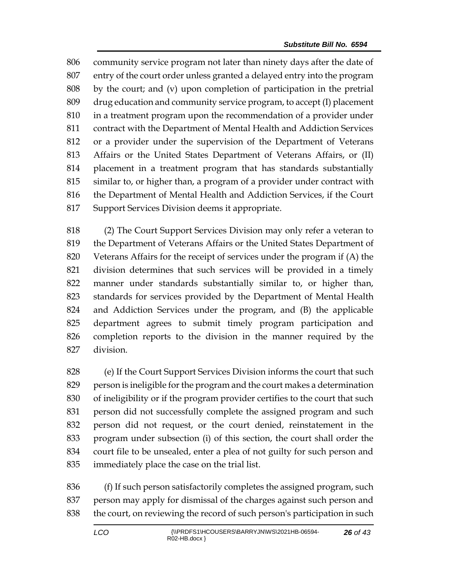community service program not later than ninety days after the date of entry of the court order unless granted a delayed entry into the program by the court; and (v) upon completion of participation in the pretrial drug education and community service program, to accept (I) placement in a treatment program upon the recommendation of a provider under contract with the Department of Mental Health and Addiction Services or a provider under the supervision of the Department of Veterans Affairs or the United States Department of Veterans Affairs, or (II) placement in a treatment program that has standards substantially similar to, or higher than, a program of a provider under contract with the Department of Mental Health and Addiction Services, if the Court Support Services Division deems it appropriate.

 (2) The Court Support Services Division may only refer a veteran to the Department of Veterans Affairs or the United States Department of Veterans Affairs for the receipt of services under the program if (A) the division determines that such services will be provided in a timely manner under standards substantially similar to, or higher than, standards for services provided by the Department of Mental Health and Addiction Services under the program, and (B) the applicable department agrees to submit timely program participation and completion reports to the division in the manner required by the division.

 (e) If the Court Support Services Division informs the court that such person is ineligible for the program and the court makes a determination of ineligibility or if the program provider certifies to the court that such person did not successfully complete the assigned program and such person did not request, or the court denied, reinstatement in the program under subsection (i) of this section, the court shall order the court file to be unsealed, enter a plea of not guilty for such person and immediately place the case on the trial list.

 (f) If such person satisfactorily completes the assigned program, such person may apply for dismissal of the charges against such person and the court, on reviewing the record of such person's participation in such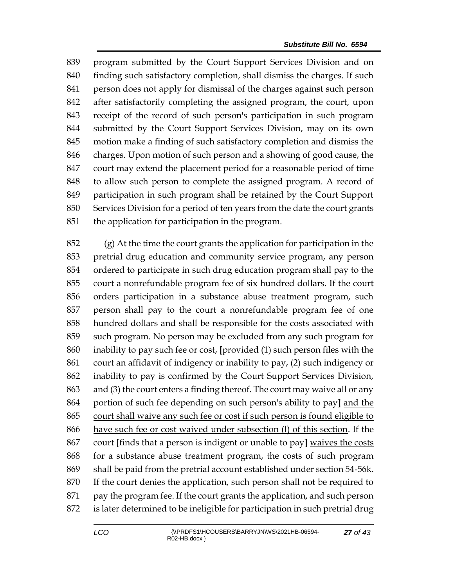program submitted by the Court Support Services Division and on finding such satisfactory completion, shall dismiss the charges. If such person does not apply for dismissal of the charges against such person after satisfactorily completing the assigned program, the court, upon receipt of the record of such person's participation in such program submitted by the Court Support Services Division, may on its own motion make a finding of such satisfactory completion and dismiss the charges. Upon motion of such person and a showing of good cause, the court may extend the placement period for a reasonable period of time to allow such person to complete the assigned program. A record of participation in such program shall be retained by the Court Support Services Division for a period of ten years from the date the court grants the application for participation in the program.

 (g) At the time the court grants the application for participation in the pretrial drug education and community service program, any person ordered to participate in such drug education program shall pay to the court a nonrefundable program fee of six hundred dollars. If the court orders participation in a substance abuse treatment program, such person shall pay to the court a nonrefundable program fee of one hundred dollars and shall be responsible for the costs associated with such program. No person may be excluded from any such program for inability to pay such fee or cost, **[**provided (1) such person files with the court an affidavit of indigency or inability to pay, (2) such indigency or inability to pay is confirmed by the Court Support Services Division, and (3) the court enters a finding thereof. The court may waive all or any portion of such fee depending on such person's ability to pay**]** and the court shall waive any such fee or cost if such person is found eligible to have such fee or cost waived under subsection (l) of this section. If the court **[**finds that a person is indigent or unable to pay**]** waives the costs for a substance abuse treatment program, the costs of such program shall be paid from the pretrial account established under section 54-56k. If the court denies the application, such person shall not be required to pay the program fee. If the court grants the application, and such person is later determined to be ineligible for participation in such pretrial drug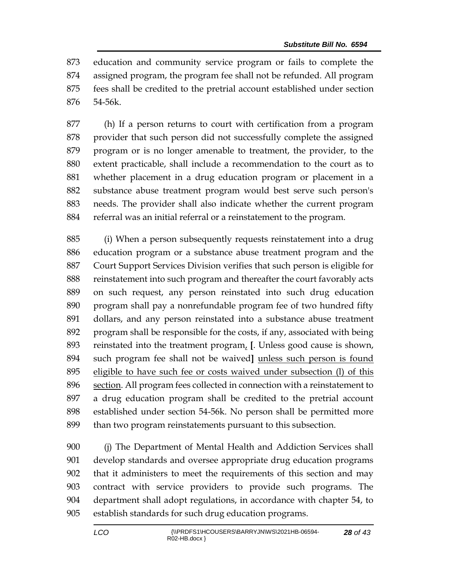education and community service program or fails to complete the assigned program, the program fee shall not be refunded. All program fees shall be credited to the pretrial account established under section 54-56k.

 (h) If a person returns to court with certification from a program provider that such person did not successfully complete the assigned program or is no longer amenable to treatment, the provider, to the extent practicable, shall include a recommendation to the court as to whether placement in a drug education program or placement in a substance abuse treatment program would best serve such person's needs. The provider shall also indicate whether the current program referral was an initial referral or a reinstatement to the program.

 (i) When a person subsequently requests reinstatement into a drug education program or a substance abuse treatment program and the Court Support Services Division verifies that such person is eligible for reinstatement into such program and thereafter the court favorably acts on such request, any person reinstated into such drug education program shall pay a nonrefundable program fee of two hundred fifty dollars, and any person reinstated into a substance abuse treatment program shall be responsible for the costs, if any, associated with being reinstated into the treatment program, **[**. Unless good cause is shown, such program fee shall not be waived**]** unless such person is found eligible to have such fee or costs waived under subsection (l) of this section. All program fees collected in connection with a reinstatement to a drug education program shall be credited to the pretrial account established under section 54-56k. No person shall be permitted more than two program reinstatements pursuant to this subsection.

 (j) The Department of Mental Health and Addiction Services shall develop standards and oversee appropriate drug education programs that it administers to meet the requirements of this section and may contract with service providers to provide such programs. The department shall adopt regulations, in accordance with chapter 54, to establish standards for such drug education programs.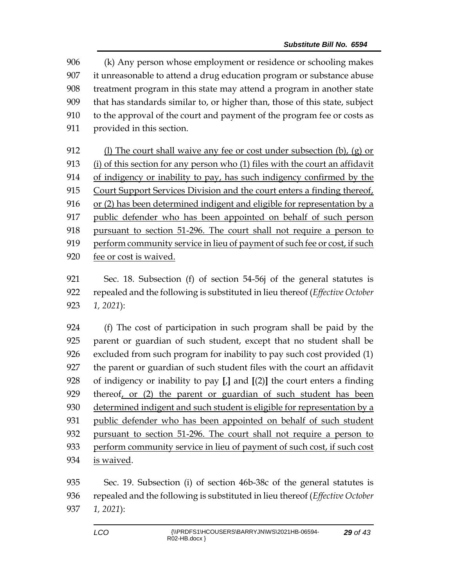(k) Any person whose employment or residence or schooling makes it unreasonable to attend a drug education program or substance abuse treatment program in this state may attend a program in another state that has standards similar to, or higher than, those of this state, subject to the approval of the court and payment of the program fee or costs as provided in this section.

 (l) The court shall waive any fee or cost under subsection (b), (g) or (i) of this section for any person who (1) files with the court an affidavit of indigency or inability to pay, has such indigency confirmed by the Court Support Services Division and the court enters a finding thereof, or (2) has been determined indigent and eligible for representation by a public defender who has been appointed on behalf of such person pursuant to section 51-296. The court shall not require a person to perform community service in lieu of payment of such fee or cost, if such fee or cost is waived.

 Sec. 18. Subsection (f) of section 54-56j of the general statutes is repealed and the following is substituted in lieu thereof (*Effective October 1, 2021*):

 (f) The cost of participation in such program shall be paid by the parent or guardian of such student, except that no student shall be excluded from such program for inability to pay such cost provided (1) the parent or guardian of such student files with the court an affidavit of indigency or inability to pay **[**,**]** and **[**(2)**]** the court enters a finding thereof, or (2) the parent or guardian of such student has been 930 determined indigent and such student is eligible for representation by a public defender who has been appointed on behalf of such student pursuant to section 51-296. The court shall not require a person to perform community service in lieu of payment of such cost, if such cost is waived.

 Sec. 19. Subsection (i) of section 46b-38c of the general statutes is repealed and the following is substituted in lieu thereof (*Effective October 1, 2021*):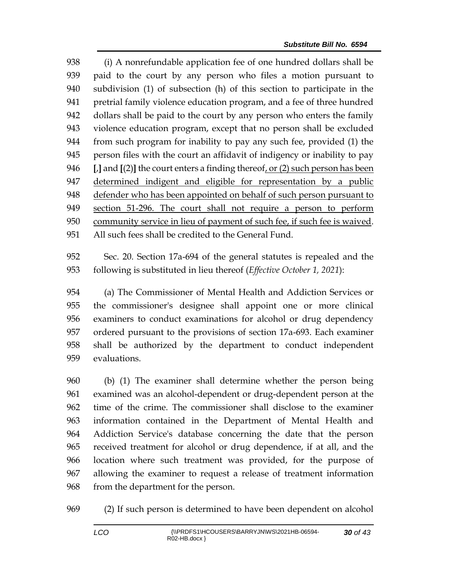(i) A nonrefundable application fee of one hundred dollars shall be paid to the court by any person who files a motion pursuant to subdivision (1) of subsection (h) of this section to participate in the pretrial family violence education program, and a fee of three hundred dollars shall be paid to the court by any person who enters the family violence education program, except that no person shall be excluded from such program for inability to pay any such fee, provided (1) the person files with the court an affidavit of indigency or inability to pay **[**,**]** and **[**(2)**]** the court enters a finding thereof, or (2) such person has been determined indigent and eligible for representation by a public defender who has been appointed on behalf of such person pursuant to section 51-296. The court shall not require a person to perform community service in lieu of payment of such fee, if such fee is waived. All such fees shall be credited to the General Fund.

 Sec. 20. Section 17a-694 of the general statutes is repealed and the following is substituted in lieu thereof (*Effective October 1, 2021*):

 (a) The Commissioner of Mental Health and Addiction Services or the commissioner's designee shall appoint one or more clinical examiners to conduct examinations for alcohol or drug dependency ordered pursuant to the provisions of section 17a-693. Each examiner shall be authorized by the department to conduct independent evaluations.

 (b) (1) The examiner shall determine whether the person being examined was an alcohol-dependent or drug-dependent person at the time of the crime. The commissioner shall disclose to the examiner information contained in the Department of Mental Health and Addiction Service's database concerning the date that the person received treatment for alcohol or drug dependence, if at all, and the location where such treatment was provided, for the purpose of allowing the examiner to request a release of treatment information from the department for the person.

(2) If such person is determined to have been dependent on alcohol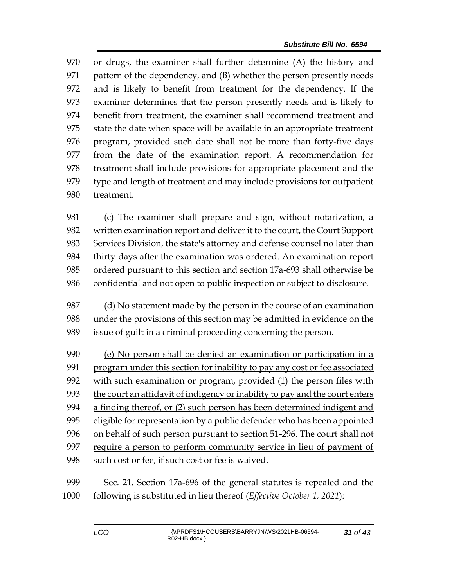or drugs, the examiner shall further determine (A) the history and pattern of the dependency, and (B) whether the person presently needs and is likely to benefit from treatment for the dependency. If the examiner determines that the person presently needs and is likely to benefit from treatment, the examiner shall recommend treatment and state the date when space will be available in an appropriate treatment program, provided such date shall not be more than forty-five days from the date of the examination report. A recommendation for treatment shall include provisions for appropriate placement and the type and length of treatment and may include provisions for outpatient treatment.

 (c) The examiner shall prepare and sign, without notarization, a written examination report and deliver it to the court, the Court Support Services Division, the state's attorney and defense counsel no later than thirty days after the examination was ordered. An examination report ordered pursuant to this section and section 17a-693 shall otherwise be confidential and not open to public inspection or subject to disclosure.

 (d) No statement made by the person in the course of an examination under the provisions of this section may be admitted in evidence on the issue of guilt in a criminal proceeding concerning the person.

 (e) No person shall be denied an examination or participation in a 991 program under this section for inability to pay any cost or fee associated with such examination or program, provided (1) the person files with the court an affidavit of indigency or inability to pay and the court enters a finding thereof, or (2) such person has been determined indigent and eligible for representation by a public defender who has been appointed on behalf of such person pursuant to section 51-296. The court shall not require a person to perform community service in lieu of payment of 998 such cost or fee, if such cost or fee is waived.

 Sec. 21. Section 17a-696 of the general statutes is repealed and the following is substituted in lieu thereof (*Effective October 1, 2021*):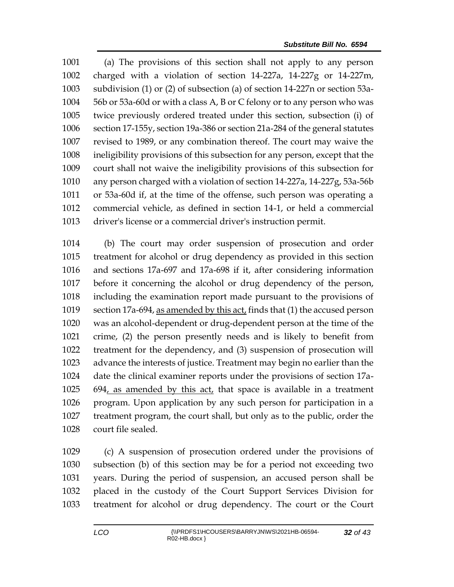(a) The provisions of this section shall not apply to any person charged with a violation of section 14-227a, 14-227g or 14-227m, subdivision (1) or (2) of subsection (a) of section 14-227n or section 53a- 56b or 53a-60d or with a class A, B or C felony or to any person who was twice previously ordered treated under this section, subsection (i) of section 17-155y, section 19a-386 or section 21a-284 of the general statutes revised to 1989, or any combination thereof. The court may waive the ineligibility provisions of this subsection for any person, except that the court shall not waive the ineligibility provisions of this subsection for any person charged with a violation of section 14-227a, 14-227g, 53a-56b or 53a-60d if, at the time of the offense, such person was operating a commercial vehicle, as defined in section 14-1, or held a commercial driver's license or a commercial driver's instruction permit.

 (b) The court may order suspension of prosecution and order treatment for alcohol or drug dependency as provided in this section and sections 17a-697 and 17a-698 if it, after considering information before it concerning the alcohol or drug dependency of the person, including the examination report made pursuant to the provisions of section 17a-694, as amended by this act, finds that (1) the accused person was an alcohol-dependent or drug-dependent person at the time of the crime, (2) the person presently needs and is likely to benefit from treatment for the dependency, and (3) suspension of prosecution will advance the interests of justice. Treatment may begin no earlier than the date the clinical examiner reports under the provisions of section 17a- 694, as amended by this act, that space is available in a treatment program. Upon application by any such person for participation in a treatment program, the court shall, but only as to the public, order the court file sealed.

 (c) A suspension of prosecution ordered under the provisions of subsection (b) of this section may be for a period not exceeding two years. During the period of suspension, an accused person shall be placed in the custody of the Court Support Services Division for treatment for alcohol or drug dependency. The court or the Court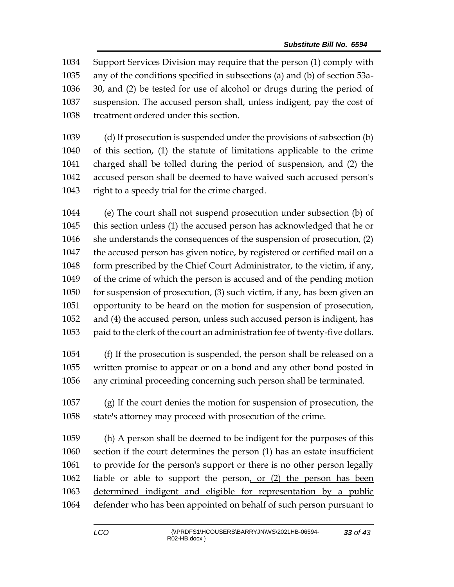Support Services Division may require that the person (1) comply with any of the conditions specified in subsections (a) and (b) of section 53a- 30, and (2) be tested for use of alcohol or drugs during the period of suspension. The accused person shall, unless indigent, pay the cost of treatment ordered under this section.

 (d) If prosecution is suspended under the provisions of subsection (b) of this section, (1) the statute of limitations applicable to the crime charged shall be tolled during the period of suspension, and (2) the accused person shall be deemed to have waived such accused person's right to a speedy trial for the crime charged.

 (e) The court shall not suspend prosecution under subsection (b) of this section unless (1) the accused person has acknowledged that he or she understands the consequences of the suspension of prosecution, (2) the accused person has given notice, by registered or certified mail on a form prescribed by the Chief Court Administrator, to the victim, if any, of the crime of which the person is accused and of the pending motion for suspension of prosecution, (3) such victim, if any, has been given an opportunity to be heard on the motion for suspension of prosecution, and (4) the accused person, unless such accused person is indigent, has paid to the clerk of the court an administration fee of twenty-five dollars.

 (f) If the prosecution is suspended, the person shall be released on a written promise to appear or on a bond and any other bond posted in any criminal proceeding concerning such person shall be terminated.

 (g) If the court denies the motion for suspension of prosecution, the state's attorney may proceed with prosecution of the crime.

 (h) A person shall be deemed to be indigent for the purposes of this section if the court determines the person (1) has an estate insufficient to provide for the person's support or there is no other person legally liable or able to support the person, or (2) the person has been determined indigent and eligible for representation by a public defender who has been appointed on behalf of such person pursuant to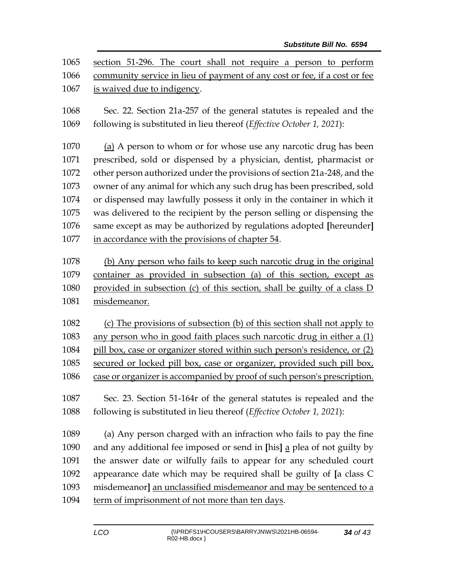| 1065<br>1066<br>1067 | section 51-296. The court shall not require a person to perform<br>community service in lieu of payment of any cost or fee, if a cost or fee<br>is waived due to indigency. |
|----------------------|-----------------------------------------------------------------------------------------------------------------------------------------------------------------------------|
| 1068<br>1069         | Sec. 22. Section 21a-257 of the general statutes is repealed and the<br>following is substituted in lieu thereof (Effective October 1, 2021):                               |
| 1070                 | (a) A person to whom or for whose use any narcotic drug has been                                                                                                            |
| 1071                 | prescribed, sold or dispensed by a physician, dentist, pharmacist or                                                                                                        |
| 1072                 | other person authorized under the provisions of section 21a-248, and the                                                                                                    |
| 1073                 | owner of any animal for which any such drug has been prescribed, sold                                                                                                       |
| 1074                 | or dispensed may lawfully possess it only in the container in which it                                                                                                      |
| 1075                 | was delivered to the recipient by the person selling or dispensing the                                                                                                      |
| 1076                 | same except as may be authorized by regulations adopted [hereunder]                                                                                                         |
| 1077                 | in accordance with the provisions of chapter 54.                                                                                                                            |
|                      |                                                                                                                                                                             |
| 1078                 | (b) Any person who fails to keep such narcotic drug in the original                                                                                                         |
| 1079                 | container as provided in subsection (a) of this section, except as                                                                                                          |
| 1080                 | provided in subsection (c) of this section, shall be guilty of a class D                                                                                                    |
| 1081                 | misdemeanor.                                                                                                                                                                |
| 1082                 | (c) The provisions of subsection (b) of this section shall not apply to                                                                                                     |
| 1083                 | any person who in good faith places such narcotic drug in either a (1)                                                                                                      |
| 1084                 | pill box, case or organizer stored within such person's residence, or (2)                                                                                                   |
| 1085                 | secured or locked pill box, case or organizer, provided such pill box,                                                                                                      |
| 1086                 | case or organizer is accompanied by proof of such person's prescription.                                                                                                    |
| 1087                 | Sec. 23. Section 51-164r of the general statutes is repealed and the                                                                                                        |
| 1088                 |                                                                                                                                                                             |
|                      | following is substituted in lieu thereof (Effective October 1, 2021):                                                                                                       |
| 1089                 | (a) Any person charged with an infraction who fails to pay the fine                                                                                                         |
| 1090                 | and any additional fee imposed or send in [his] a plea of not guilty by                                                                                                     |
| 1091                 | the answer date or wilfully fails to appear for any scheduled court                                                                                                         |
| 1092                 | appearance date which may be required shall be guilty of [a class C                                                                                                         |
| 1093                 | misdemeanor] an unclassified misdemeanor and may be sentenced to a                                                                                                          |
| 1094                 | term of imprisonment of not more than ten days.                                                                                                                             |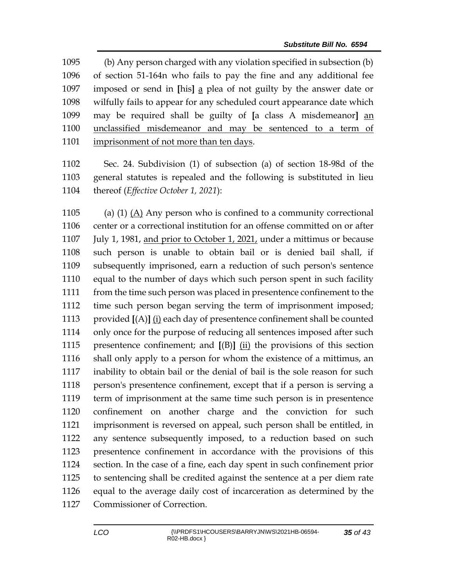(b) Any person charged with any violation specified in subsection (b) of section 51-164n who fails to pay the fine and any additional fee imposed or send in **[**his**]** a plea of not guilty by the answer date or wilfully fails to appear for any scheduled court appearance date which may be required shall be guilty of **[**a class A misdemeanor**]** an unclassified misdemeanor and may be sentenced to a term of imprisonment of not more than ten days.

 Sec. 24. Subdivision (1) of subsection (a) of section 18-98d of the general statutes is repealed and the following is substituted in lieu thereof (*Effective October 1, 2021*):

 (a) (1) (A) Any person who is confined to a community correctional center or a correctional institution for an offense committed on or after 1107 July 1, 1981, and prior to October 1, 2021, under a mittimus or because such person is unable to obtain bail or is denied bail shall, if subsequently imprisoned, earn a reduction of such person's sentence equal to the number of days which such person spent in such facility from the time such person was placed in presentence confinement to the time such person began serving the term of imprisonment imposed; provided **[**(A)**]** (i) each day of presentence confinement shall be counted only once for the purpose of reducing all sentences imposed after such presentence confinement; and **[**(B)**]** (ii) the provisions of this section shall only apply to a person for whom the existence of a mittimus, an inability to obtain bail or the denial of bail is the sole reason for such person's presentence confinement, except that if a person is serving a term of imprisonment at the same time such person is in presentence confinement on another charge and the conviction for such imprisonment is reversed on appeal, such person shall be entitled, in any sentence subsequently imposed, to a reduction based on such presentence confinement in accordance with the provisions of this section. In the case of a fine, each day spent in such confinement prior to sentencing shall be credited against the sentence at a per diem rate equal to the average daily cost of incarceration as determined by the Commissioner of Correction.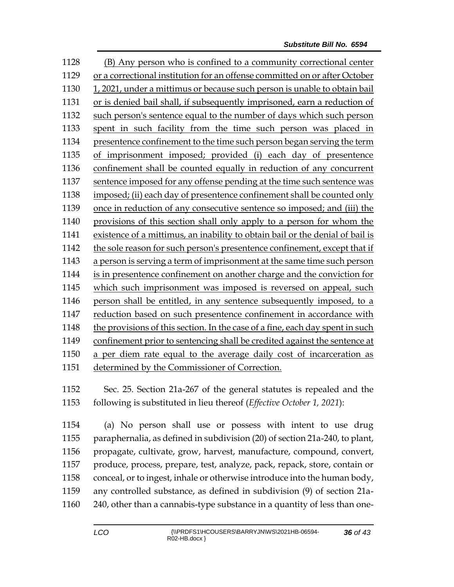(B) Any person who is confined to a community correctional center or a correctional institution for an offense committed on or after October 1, 2021, under a mittimus or because such person is unable to obtain bail or is denied bail shall, if subsequently imprisoned, earn a reduction of such person's sentence equal to the number of days which such person spent in such facility from the time such person was placed in presentence confinement to the time such person began serving the term of imprisonment imposed; provided (i) each day of presentence confinement shall be counted equally in reduction of any concurrent sentence imposed for any offense pending at the time such sentence was imposed; (ii) each day of presentence confinement shall be counted only once in reduction of any consecutive sentence so imposed; and (iii) the provisions of this section shall only apply to a person for whom the existence of a mittimus, an inability to obtain bail or the denial of bail is the sole reason for such person's presentence confinement, except that if a person is serving a term of imprisonment at the same time such person is in presentence confinement on another charge and the conviction for which such imprisonment was imposed is reversed on appeal, such person shall be entitled, in any sentence subsequently imposed, to a reduction based on such presentence confinement in accordance with the provisions of this section. In the case of a fine, each day spent in such confinement prior to sentencing shall be credited against the sentence at a per diem rate equal to the average daily cost of incarceration as determined by the Commissioner of Correction.

 Sec. 25. Section 21a-267 of the general statutes is repealed and the following is substituted in lieu thereof (*Effective October 1, 2021*):

 (a) No person shall use or possess with intent to use drug paraphernalia, as defined in subdivision (20) of section 21a-240, to plant, propagate, cultivate, grow, harvest, manufacture, compound, convert, produce, process, prepare, test, analyze, pack, repack, store, contain or conceal, or to ingest, inhale or otherwise introduce into the human body, any controlled substance, as defined in subdivision (9) of section 21a-240, other than a cannabis-type substance in a quantity of less than one-

*of 43*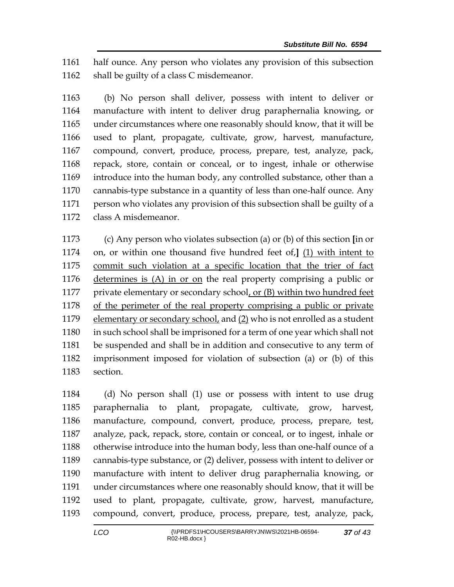half ounce. Any person who violates any provision of this subsection 1162 shall be guilty of a class C misdemeanor.

 (b) No person shall deliver, possess with intent to deliver or manufacture with intent to deliver drug paraphernalia knowing, or under circumstances where one reasonably should know, that it will be used to plant, propagate, cultivate, grow, harvest, manufacture, compound, convert, produce, process, prepare, test, analyze, pack, repack, store, contain or conceal, or to ingest, inhale or otherwise introduce into the human body, any controlled substance, other than a cannabis-type substance in a quantity of less than one-half ounce. Any person who violates any provision of this subsection shall be guilty of a class A misdemeanor.

 (c) Any person who violates subsection (a) or (b) of this section **[**in or on, or within one thousand five hundred feet of,**]** (1) with intent to commit such violation at a specific location that the trier of fact determines is (A) in or on the real property comprising a public or private elementary or secondary school, or (B) within two hundred feet of the perimeter of the real property comprising a public or private 1179 elementary or secondary school, and (2) who is not enrolled as a student in such school shall be imprisoned for a term of one year which shall not be suspended and shall be in addition and consecutive to any term of imprisonment imposed for violation of subsection (a) or (b) of this section.

 (d) No person shall (1) use or possess with intent to use drug paraphernalia to plant, propagate, cultivate, grow, harvest, manufacture, compound, convert, produce, process, prepare, test, analyze, pack, repack, store, contain or conceal, or to ingest, inhale or otherwise introduce into the human body, less than one-half ounce of a cannabis-type substance, or (2) deliver, possess with intent to deliver or manufacture with intent to deliver drug paraphernalia knowing, or under circumstances where one reasonably should know, that it will be used to plant, propagate, cultivate, grow, harvest, manufacture, compound, convert, produce, process, prepare, test, analyze, pack,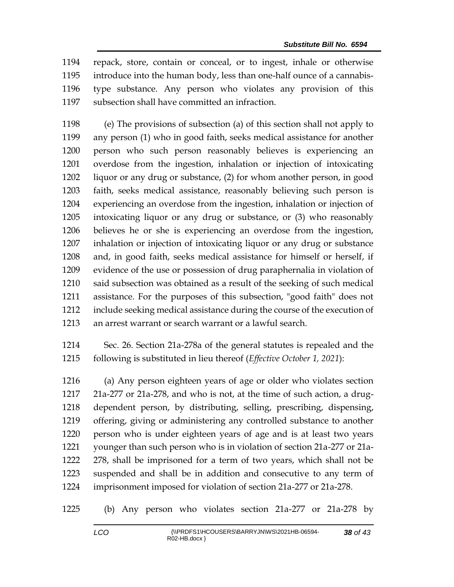repack, store, contain or conceal, or to ingest, inhale or otherwise introduce into the human body, less than one-half ounce of a cannabis- type substance. Any person who violates any provision of this subsection shall have committed an infraction.

 (e) The provisions of subsection (a) of this section shall not apply to any person (1) who in good faith, seeks medical assistance for another person who such person reasonably believes is experiencing an overdose from the ingestion, inhalation or injection of intoxicating liquor or any drug or substance, (2) for whom another person, in good faith, seeks medical assistance, reasonably believing such person is experiencing an overdose from the ingestion, inhalation or injection of intoxicating liquor or any drug or substance, or (3) who reasonably believes he or she is experiencing an overdose from the ingestion, inhalation or injection of intoxicating liquor or any drug or substance and, in good faith, seeks medical assistance for himself or herself, if evidence of the use or possession of drug paraphernalia in violation of said subsection was obtained as a result of the seeking of such medical assistance. For the purposes of this subsection, "good faith" does not include seeking medical assistance during the course of the execution of an arrest warrant or search warrant or a lawful search.

 Sec. 26. Section 21a-278a of the general statutes is repealed and the following is substituted in lieu thereof (*Effective October 1, 2021*):

 (a) Any person eighteen years of age or older who violates section 21a-277 or 21a-278, and who is not, at the time of such action, a drug- dependent person, by distributing, selling, prescribing, dispensing, offering, giving or administering any controlled substance to another person who is under eighteen years of age and is at least two years younger than such person who is in violation of section 21a-277 or 21a- 278, shall be imprisoned for a term of two years, which shall not be suspended and shall be in addition and consecutive to any term of imprisonment imposed for violation of section 21a-277 or 21a-278.

(b) Any person who violates section 21a-277 or 21a-278 by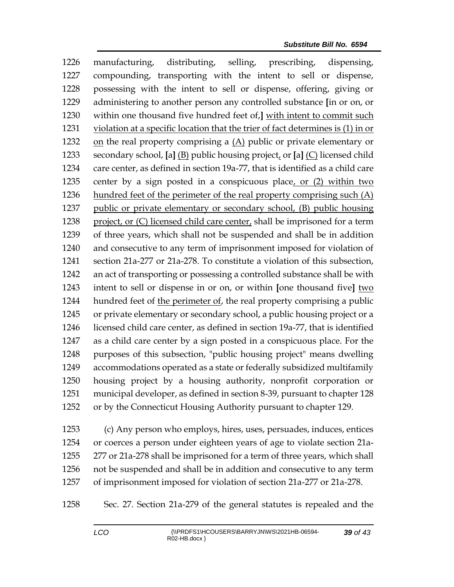manufacturing, distributing, selling, prescribing, dispensing, compounding, transporting with the intent to sell or dispense, possessing with the intent to sell or dispense, offering, giving or administering to another person any controlled substance **[**in or on, or within one thousand five hundred feet of,**]** with intent to commit such violation at a specific location that the trier of fact determines is (1) in or 1232 on the real property comprising a  $(A)$  public or private elementary or secondary school, **[**a**]** (B) public housing project, or **[**a**]** (C) licensed child care center, as defined in section 19a-77, that is identified as a child care center by a sign posted in a conspicuous place, or (2) within two hundred feet of the perimeter of the real property comprising such (A) public or private elementary or secondary school, (B) public housing 1238 project, or (C) licensed child care center, shall be imprisoned for a term of three years, which shall not be suspended and shall be in addition and consecutive to any term of imprisonment imposed for violation of section 21a-277 or 21a-278. To constitute a violation of this subsection, an act of transporting or possessing a controlled substance shall be with intent to sell or dispense in or on, or within **[**one thousand five**]** two hundred feet of the perimeter of, the real property comprising a public or private elementary or secondary school, a public housing project or a licensed child care center, as defined in section 19a-77, that is identified as a child care center by a sign posted in a conspicuous place. For the purposes of this subsection, "public housing project" means dwelling accommodations operated as a state or federally subsidized multifamily housing project by a housing authority, nonprofit corporation or municipal developer, as defined in section 8-39, pursuant to chapter 128 or by the Connecticut Housing Authority pursuant to chapter 129.

 (c) Any person who employs, hires, uses, persuades, induces, entices or coerces a person under eighteen years of age to violate section 21a- 277 or 21a-278 shall be imprisoned for a term of three years, which shall not be suspended and shall be in addition and consecutive to any term of imprisonment imposed for violation of section 21a-277 or 21a-278.

Sec. 27. Section 21a-279 of the general statutes is repealed and the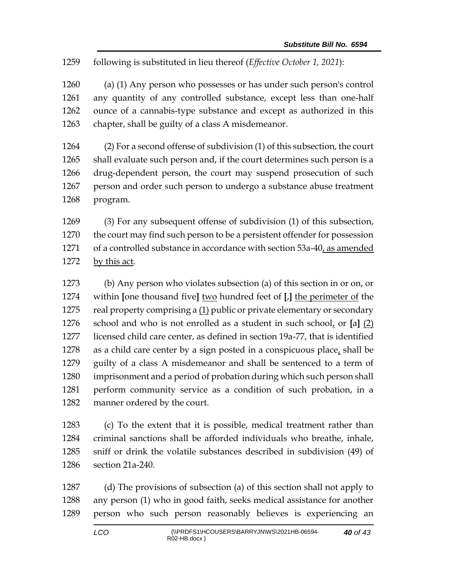following is substituted in lieu thereof (*Effective October 1, 2021*):

 (a) (1) Any person who possesses or has under such person's control any quantity of any controlled substance, except less than one-half ounce of a cannabis-type substance and except as authorized in this chapter, shall be guilty of a class A misdemeanor.

 (2) For a second offense of subdivision (1) of this subsection, the court shall evaluate such person and, if the court determines such person is a drug-dependent person, the court may suspend prosecution of such person and order such person to undergo a substance abuse treatment program.

 (3) For any subsequent offense of subdivision (1) of this subsection, the court may find such person to be a persistent offender for possession 1271 of a controlled substance in accordance with section 53a-40, as amended by this act.

 (b) Any person who violates subsection (a) of this section in or on, or within **[**one thousand five**]** two hundred feet of **[**,**]** the perimeter of the real property comprising a (1) public or private elementary or secondary school and who is not enrolled as a student in such school, or **[**a**]** (2) licensed child care center, as defined in section 19a-77, that is identified 1278 as a child care center by a sign posted in a conspicuous place, shall be guilty of a class A misdemeanor and shall be sentenced to a term of imprisonment and a period of probation during which such person shall perform community service as a condition of such probation, in a manner ordered by the court.

 (c) To the extent that it is possible, medical treatment rather than criminal sanctions shall be afforded individuals who breathe, inhale, sniff or drink the volatile substances described in subdivision (49) of section 21a-240.

 (d) The provisions of subsection (a) of this section shall not apply to any person (1) who in good faith, seeks medical assistance for another person who such person reasonably believes is experiencing an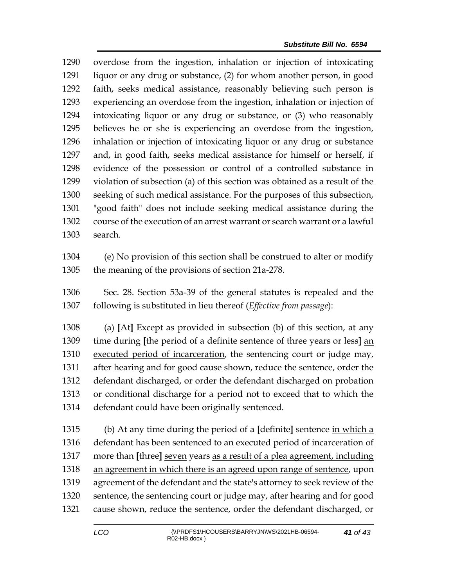overdose from the ingestion, inhalation or injection of intoxicating liquor or any drug or substance, (2) for whom another person, in good faith, seeks medical assistance, reasonably believing such person is experiencing an overdose from the ingestion, inhalation or injection of intoxicating liquor or any drug or substance, or (3) who reasonably believes he or she is experiencing an overdose from the ingestion, inhalation or injection of intoxicating liquor or any drug or substance and, in good faith, seeks medical assistance for himself or herself, if evidence of the possession or control of a controlled substance in violation of subsection (a) of this section was obtained as a result of the seeking of such medical assistance. For the purposes of this subsection, "good faith" does not include seeking medical assistance during the course of the execution of an arrest warrant or search warrant or a lawful search.

- (e) No provision of this section shall be construed to alter or modify the meaning of the provisions of section 21a-278.
- Sec. 28. Section 53a-39 of the general statutes is repealed and the following is substituted in lieu thereof (*Effective from passage*):

 (a) **[**At**]** Except as provided in subsection (b) of this section, at any time during **[**the period of a definite sentence of three years or less**]** an executed period of incarceration, the sentencing court or judge may, after hearing and for good cause shown, reduce the sentence, order the defendant discharged, or order the defendant discharged on probation or conditional discharge for a period not to exceed that to which the defendant could have been originally sentenced.

 (b) At any time during the period of a **[**definite**]** sentence in which a defendant has been sentenced to an executed period of incarceration of more than **[**three**]** seven years as a result of a plea agreement, including an agreement in which there is an agreed upon range of sentence, upon agreement of the defendant and the state's attorney to seek review of the sentence, the sentencing court or judge may, after hearing and for good cause shown, reduce the sentence, order the defendant discharged, or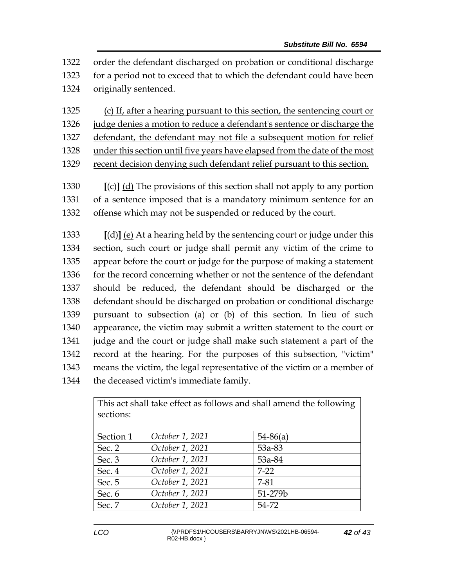order the defendant discharged on probation or conditional discharge for a period not to exceed that to which the defendant could have been originally sentenced.

 (c) If, after a hearing pursuant to this section, the sentencing court or judge denies a motion to reduce a defendant's sentence or discharge the defendant, the defendant may not file a subsequent motion for relief

under this section until five years have elapsed from the date of the most

recent decision denying such defendant relief pursuant to this section.

 **[**(c)**]** (d) The provisions of this section shall not apply to any portion of a sentence imposed that is a mandatory minimum sentence for an offense which may not be suspended or reduced by the court.

 **[**(d)**]** (e) At a hearing held by the sentencing court or judge under this section, such court or judge shall permit any victim of the crime to appear before the court or judge for the purpose of making a statement 1336 for the record concerning whether or not the sentence of the defendant should be reduced, the defendant should be discharged or the defendant should be discharged on probation or conditional discharge pursuant to subsection (a) or (b) of this section. In lieu of such appearance, the victim may submit a written statement to the court or judge and the court or judge shall make such statement a part of the record at the hearing. For the purposes of this subsection, "victim" means the victim, the legal representative of the victim or a member of the deceased victim's immediate family.

| This act shall take effect as follows and shall amend the following<br>sections: |                 |            |  |  |
|----------------------------------------------------------------------------------|-----------------|------------|--|--|
| Section 1                                                                        | October 1, 2021 | $54-86(a)$ |  |  |
| Sec. 2                                                                           | October 1, 2021 | 53a-83     |  |  |
| Sec. 3                                                                           | October 1, 2021 | 53a-84     |  |  |
| Sec. 4                                                                           | October 1, 2021 | $7-22$     |  |  |
| Sec. 5                                                                           | October 1, 2021 | 7-81       |  |  |
| Sec. 6                                                                           | October 1, 2021 | 51-279b    |  |  |
| Sec. 7                                                                           | October 1, 2021 | 54-72      |  |  |